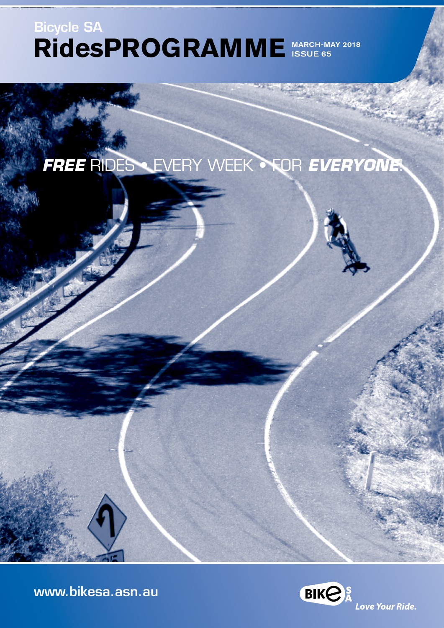# **RidesPROGRAMME**  MARCH-MAY 2018 Bicycle SA ISSUE 65

*FREE* RIDES • EVERY WEEK • FOR *EVERYONE*!

[www.bikesa.asn.au](http://www.bikesa.asn.au)

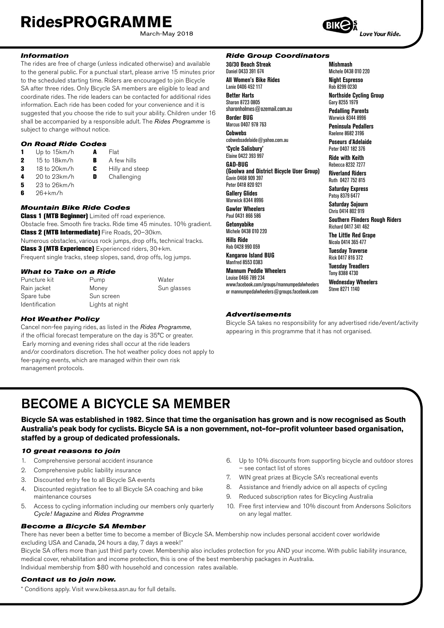March-May 2018



**Mishmash** Michele 0438 010 220 **Night Espresso** Rob 8299 0230

**Northside Cycling Group** Gary 8255 1979 **Pedalling Parents** Warwick 8344 8996 **Peninsula Pedallers** Raelene 8682 3196 **Poseurs d'Adelaide** Peter 0407 182 376 **Ride with Keith** Rebecca 8232 7277 **Riverland Riders** Ruth 0427 752 815 **Saturday Express** Patsy 8379 6477 **Saturday Sojourn** Chris 0414 802 919

**Southern Flinders Rough Riders**

Richard 0417 341 462 **The Little Red Grape**  Nicola 0414 365 477 **Tuesday Traverse** Rick 0417 816 372 **Tuesday Treadlers** Tony 8388 4730 **Wednesday Wheelers** Steve 8271 1140

Love Your Ride.

#### *Information*

The rides are free of charge (unless indicated otherwise) and available to the general public. For a punctual start, please arrive 15 minutes prior to the scheduled starting time. Riders are encouraged to join Bicycle SA after three rides. Only Bicycle SA members are eligible to lead and coordinate rides. The ride leaders can be contacted for additional rides information. Each ride has been coded for your convenience and it is suggested that you choose the ride to suit your ability. Children under 16 shall be accompanied by a responsible adult. The *Rides Programme* is subject to change without notice.

#### *On Road Ride Codes*

- 1 Up to 15km/h  $\overline{A}$  Flat<br>2 15 to 18km/h  $\overline{B}$  A fe 2 15 to 18km/h **B** A few hills 3 18 to 20 km/h **C** Hilly and steep<br>4 20 to 23 km/h **D** Challenging Challenging
- 
- 5 23 to 26km/h
- $6$  26+km/h

#### *Mountain Bike Ride Codes*

**Class 1 (MTB Beginner)** Limited off road experience. Obstacle free. Smooth fire tracks. Ride time 45 minutes. 10% gradient. Class 2 (MTB Intermediate) Fire Roads, 20–30km. Numerous obstacles, various rock jumps, drop offs, technical tracks. Class 3 (MTB Experience) Experienced riders, 30+km. Frequent single tracks, steep slopes, sand, drop offs, log jumps.

#### *What to Take on a Ride*

| Puncture kit          | Pump            | Water       |
|-----------------------|-----------------|-------------|
| Rain jacket           | Money           | Sun glasses |
| Spare tube            | Sun screen      |             |
| <b>Identification</b> | Lights at night |             |

#### *Hot Weather Policy*

Cancel non-fee paying rides, as listed in the *Rides Programme*, if the official forecast temperature on the day is 35°C or greater. Early morning and evening rides shall occur at the ride leaders and/or coordinators discretion. The hot weather policy does not apply to fee-paying events, which are managed within their own risk management protocols.

#### *Ride Group Coordinators*

**30/30 Beach Streak** Daniel 0433 391 674 **All Women's Bike Rides** Lanie 0406 452 117 **Better Harts**  Sharon 8723 0805 sharonholmes@ozemail.com.au **Border BUG** Marcus 0407 978 763 **Cobwebs** cobwebsadelaide@yahoo.com.au **'Cycle Salisbury'** Elaine 0422 393 997 **GAD-BUG (Goolwa and District Bicycle User Group)** Gavin 0468 909 397 Peter 0418 820 921 **Gallery Glides** Warwick 8344 8996 **Gawler Wheelers** Paul 0431 866 586 **Getonyabike** Michele 0438 010 220 **Hills Ride** Rob 0428 990 059 **Kangaroo Island BUG** Manfred 8553 0383

#### **Mannum Peddle Wheelers**

Louise 0466 789 234

www.facebook.com/groups/mannumpedalwheelers or mannumpedalwheelers@groups.facebook.com

#### *Advertisements*

Bicycle SA takes no responsibility for any advertised ride/event/activity appearing in this programme that it has not organised.

# BECOME A BICYCLE SA MEMBER

**Bicycle SA was established in 1982. Since that time the organisation has grown and is now recognised as South Australia's peak body for cyclists. Bicycle SA is a non government, not–for–profit volunteer based organisation, staffed by a group of dedicated professionals.**

#### *10 great reasons to join*

- 1. Comprehensive personal accident insurance
- 2. Comprehensive public liability insurance
- 3. Discounted entry fee to all Bicycle SA events
- 4. Discounted registration fee to all Bicycle SA coaching and bike maintenance courses
- 5. Access to cycling information including our members only quarterly *Cycle! Magazine* and *Rides Programme*
- 6. Up to 10% discounts from supporting bicycle and outdoor stores – see contact list of stores
- 7. WIN great prizes at Bicycle SA's recreational events
- 8. Assistance and friendly advice on all aspects of cycling
- 9. Reduced subscription rates for Bicycling Australia
- 10. Free first interview and 10% discount from Andersons Solicitors on any legal matter.

*Become a Bicycle SA Member* There has never been a better time to become a member of Bicycle SA. Membership now includes personal accident cover worldwide excluding USA and Canada, 24 hours a day, 7 days a week!\*

Bicycle SA offers more than just third party cover. Membership also includes protection for you AND your income. With public liability insurance, medical cover, rehabilitation and income protection, this is one of the best membership packages in Australia. Individual membership from \$80 with household and concession rates available.

#### *Contact us to join now.*

**II**

\* Conditions apply. Visit www.bikesa.asn.au for full details.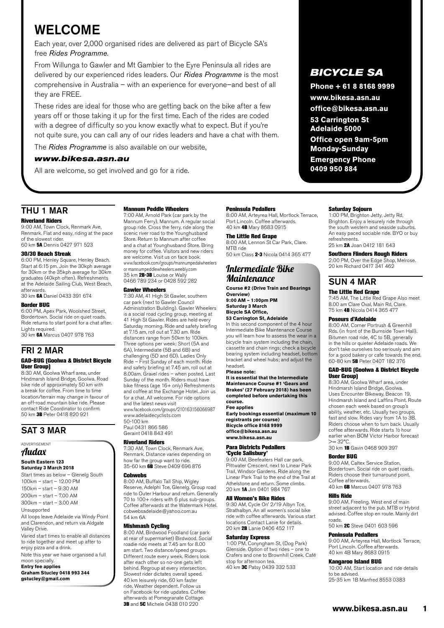# WELCOME

Each year, over 2,000 organised rides are delivered as part of Bicycle SA's free *Rides Programme*.

From Willunga to Gawler and Mt Gambier to the Eyre Peninsula all rides are delivered by our experienced rides leaders. Our *Rides Programme* is the most comprehensive in Australia – with an experience for everyone–and best of all they are FREE.

These rides are ideal for those who are getting back on the bike after a few years off or those taking it up for the first time. Each of the rides are coded with a degree of difficulty so you know exactly what to expect. But if you're not quite sure, you can call any of our rides leaders and have a chat with them.

The *Rides Programme* is also available on our website,

#### *www.bikesa.asn.au*

All are welcome, so get involved and go for a ride.

### THU 1 MAR

#### Riverland Riders

9:00 AM, Town Clock, Renmark Ave, Renmark. Flat and easy, riding at the pace of the slowest rider. 60 km 5A Dennis 0427 971 523

#### 30/30 Beach Streak

6:00 PM, Henley Square, Henley Beach. Start at 6:15 pm. Join the 30kph average for 30km or the 35kph average for 30km graduates (40kph often). Refreshments at the Adelaide Sailing Club, West Beach, afterwards.

30 km 6A Daniel 0433 391 674

#### Border BUG

6:00 PM, Apex Park, Woolshed Street, Bordertown. Social ride on quiet roads. Ride returns to start point for a chat after. Lights required.

30 km 6A Marcus 0407 978 763

### FRI 2 MAR

#### GAD-BUG (Goolwa & District Bicycle User Group)

8:30 AM, Goolwa Wharf area, under Hindmarsh Island Bridge, Goolwa. Road bike ride of approximately 50 km with a break for coffee. From time to time location/terrain may change in favour of an off-road mountain bike ride. Please contact Ride Coordinator to confirm. 50 km 3B Peter 0418 820 921

### SAT 3 MAR

#### ADVERTISEMENT Audax

### **South Eastern 123**

**Saturday 3 March 2018** Start times as below – Glenelg South 100km – start – 12.00 PM 150km – start – 9:30 AM 200km – start – 7.00 AM 300km – start – 3.00 AM Unsupported All loops leave Adelaide via Windy Point and Clarendon, and return via Aldgate Valley Drive. Varied start times to enable all distances

to ride together and meet up after to enjoy pizza and a drink. Note this year we have organised a full

moon specially. **Entry fee applies**

**Graham Stucley 0418 993 344 gstucley@gmail.com**

#### Mannum Peddle Wheelers

7:00 AM, Arnold Park (car park by the Mannum Ferry), Mannum. A regular social group ride. Cross the ferry, ride along the scenic river road to the Younghusband Store. Return to Mannum after coffee and a chat at Younghusband Store. Bring money for coffee. Visitors and new riders are welcome. Visit us on face book. www.facebook.com/groups/mannumpedalwheelers or mannumpeddlewheelers.weebly.com<br>35 km 2B-3B Louise or Wally 0466 789 234 or 0428 592 282

#### Gawler Wheelers

7:30 AM, 41 High St Gawler, southern car park (next to Gawler Council Administration Building). Gawler Wheelers is a social road cycling group, meeting at 41 High St Gawler. Rides are held every Saturday morning. Ride and safety briefing at 7.15 am, roll out at 7.30 am. Ride distances range from 50km to 100km. Three options per week: Short (5A and 6A), Intermediate (5B and 6B) and challenging (5D and 6D). Ladies Only Ride – First Sunday of each month. Ride and safety briefing at 7.45 am, roll out at 8.00am. Gravel rides – when posted. Last Sunday of the month. Riders must have bike fitness (age 16+ only) Refreshments and coffee at the Exchange Hotel. Join us for a chat. All welcome. For ride options and the latest news visit www.facebook.com/groups/210163156066987

[www.adelaidecyclists.com](http://www.adelaidecyclists.com) 50-100 km

Paul 0431 866 586 Geraint 0418 843 491

#### Riverland Riders

7:30 AM, Town Clock, Renmark Ave, Renmark. Distance varies depending on how far the group want to ride. 35-60 km 6B Steve 0409 696 876

#### **Cobwebs**

8:00 AM, Buffalo Tall Ship, Wigley Reserve, Adelphi Tce, Glenelg. Group road ride to Outer Harbour and return. Generally 70 to 100+ riders with 6 plus sub-groups. Coffee afterwards at the Watermark Hotel. cobwebsadelaide@yahoo.com.au 54 km 6A

**Mishmash Cycling**<br>8:00 AM, Birdwood Foodland (car park at rear of supermarket) Birdwood. Social roadie ride meets at 7.45 am for 8.00 am start. Two distance/speed groups. Different route every week. Riders look after each other so no-one gets left behind. Regroup at every intersection. Slowest rider dictates overall speed. 40 km leisurely ride, 60 km faster ride. Weather dependent. Follow us on Facebook for ride updates. Coffee afterwards at Pomegranate Cottage. **3B** and 5C Michele 0438 010 220

#### Peninsula Pedallers

8:00 AM, Arteyrea Hall, Mortlock Terrace, Port Lincoln. Coffee afterwards. 40 km 4B Mary 8683 0915

#### The Little Red Grape

8:00 AM, Lennon St Car Park, Clare. MTB ride 50 km Class 2-3 Nicola 0414 365 477

### Intermediate Bike Maintenance

**Course #2 (Drive Train and Bearings Overview) 9:00 AM – 1:00pm PM Saturday 3 March Bicycle SA Office,** 

#### **53 Carrington St, Adelaide**

In this second component of the 4 hour Intermediate Bike Maintenance Course you will learn how to assess the wear in a bicycle train system including the chain, cassette and chain rings; check a bicycle bearing system including headset, bottom bracket and wheel hubs; and adjust the headset.

#### **Please note:**

**It is essential that the Intermediate Maintenance Course #1 'Gears and Brakes' (27 February 2018) has been completed before undertaking this course.**

#### **Fee applies**

**Early bookings essential (maximum 10 registrants per course) Bicycle office 8168 9999 office@bikesa.asn.au [www.bikesa.asn.au](http://www.bikesa.asn.au)**

#### Para Districts Pedallers 'Cycle Salisbury'

9:00 AM, Beefeaters Hall car park, Pittwater Crescent, next to Linear Park Trail, Windsor Gardens. Ride along the Linear Park Trail to the end of the Trail at Athelstone and return. Some climbs. 20 km 1A Jim 0401 984 767

#### All Women's Bike Rides

9:30 AM, Cycle On' 2/19 Albyn Tce, Strathalbyn. An all women's social bike ride with coffee afterwards. Various start locations Contact Lanie for details. 20 km 2B Lanie 0406 452 117

#### Saturday Express

1:00 PM, Conyngham St, (Dog Park) Glenside. Option of two rides – one to Crafers and one to Brownhill Creek. Café stop for afternoon tea. 40 km **3C** Patsy 0439 332 533

### *BICYCLE SA*

**Phone + 61 8 8168 9999** 

**www.bikesa.asn.au office@bikesa.asn.au**

**53 Carrington St Adelaide 5000**

**Office open 9am-5pm Monday-Sunday Emergency Phone** 

**0409 950 884**

#### Saturday Sojourn

1:00 PM, Brighton Jetty, Jetty Rd, Brighton. Enjoy a leisurely ride through the south western and seaside suburbs. An easy paced sociable ride. BYO or buy refreshments.

25 km 2A Joan 0412 181 643

#### Southern Flinders Rough Riders 2:00 PM, Over the Edge Shop, Melrose. 20 km Richard 0417 341 462

# SUN 4 MAR

#### **The Little Red Grane**

7:45 AM, The Little Red Grape Also meet 8.00 am Clare Oval, Main Rd, Clare. 75 km 4B Nicola 0414 365 477

#### Poseurs d'Adelaide

8:00 AM, Corner Portrush & Greenhill Rds. (in front of the Burnside Town Hall). Bitumen road ride, 4C to 5B, generally in the hills or quieter Adelaide roads. We don't take ourselves too seriously and aim for a good bakery or cafe towards the end. 60-80 km 5B Peter 0407 182 376

#### GAD-BUG (Goolwa & District Bicycle User Group)

8:30 AM, Goolwa Wharf area, under Hindmarsh Island Bridge, Goolwa. Uses Encounter Bikeway, Beacon 19, Hindmarsh Island and Laffins Point. Route chosen each week based on group's ability, weather, etc. Usually two groups, fast and slow. Rides vary from 1A to 3B. Riders choose when to turn back. Usually coffee afterwards. Ride starts ½ hour earlier when BOM Victor Harbor forecast  $>= 32^{\circ}C$ 

30 km 1B Gavin 0468 909 397

#### Border BUG

9:00 AM, Caltex Service Station, Bordertown. Social ride on quiet roads. Riders choose their turnaround point. Coffee afterwards. 40 km 6B Marcus 0407 978 763

#### Hills Ride

9:00 AM, Freeling. West end of main street adjacent to the pub. MTB or Hybrid advised. Coffee stop en route. Mainly dirt roads.

50 km 2C Steve 0401 603 596

### Peninsula Pedallers

9:00 AM, Arteyrea Hall, Mortlock Terrace, Port Lincoln. Coffee afterwards. 40 km 4B Mary 8683 0915

#### Kangaroo Island BUG

10:00 AM, Start location and ride details to be advised. 25-35 km 1B Manfred 8553 0383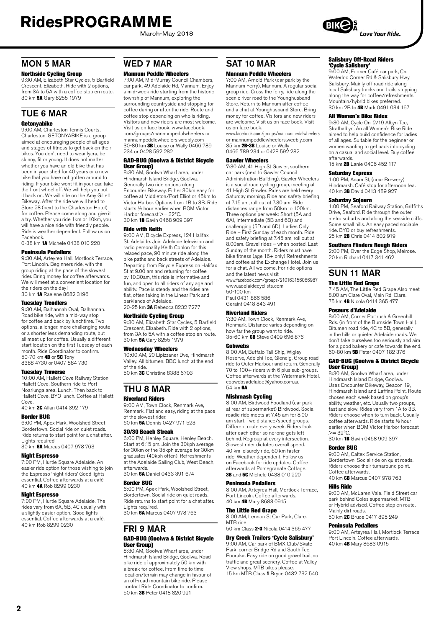March-May 2018

## MON 5 MAR

**Northside Cycling Group**<br>9:30 AM, Elizabeth Star Cycles, 5 Barfield Crescent, Elizabeth. Ride with 2 options, from 3A to 5A with a coffee stop en route. 30 km 5A Gary 8255 1979

### TUE 6 MAR

#### Getonyabike

9:00 AM, Charleston Tennis Courts, Charleston. GETONYABIKE is a group aimed at encouraging people of all ages and stages of fitness to get back on their bikes. You don't need to wear lycra, be skinny, fit or young. It does not matter whether you have an old bike that has been in your shed for 40 years or a new bike that you have not gotten around to riding. If your bike wont fit in your car, take the front wheel off. We will help you put it back on. We will ride on the Amy Gillett Bikeway. After the ride we will head to Store 28 (next to the Charleston Hotel) for coffee. Please come along and give it a try. Whether you ride 1km or 10km, you will have a nice ride with friendly people. Ride is weather dependent. Follow us on Facebook.

0-38 km 1A Michele 0438 010 220

#### Peninsula Pedallers

9:30 AM, Arteyrea Hall, Mortlock Terrace, Port Lincoln. Beginners ride, with the group riding at the pace of the slowest rider. Bring money for coffee afterwards. We will meet at a convenient location for the riders on the day!<br>30 km **1A** Raelene 8682 3196

#### Tuesday Treadlers

9:30 AM, Balhannah Oval, Balhannah. Road bike ride, with a mid-way stop for coffee and back by lunchtime. Two options, a longer, more challenging route or a shorter less demanding route, but all meet up for coffee. Usually a different start location on the first Tuesday of each month. Ride Coordinator to confirm. 50-70 km **4B** or 5C Tony 8388 4730 or 0407 884 730

#### Tuesday Traverse

10:00 AM, Hallett Cove Railway Station, Hallett Cove. Southern ride to Port Noarlunga area. Lunch. Then back to Hallett Cove. BYO lunch. Coffee at Hallett Cove.

#### 40 km 2C Allan 0414 392 179

#### Border BUG

6:00 PM, Apex Park, Woolshed Street Bordertown. Social ride on quiet roads. Ride returns to start point for a chat after. Lights required.

30 km 6A Marcus 0407 978 763

#### Night Espresso

7:00 PM, Hurtle Square Adelaide. An easier ride option for those wishing to join the Espresso 'night riders' Good lights essential. Coffee afterwards at a café 40 km 4A Rob 8299 0230

#### Night Espresso

7:00 PM, Hurtle Square Adelaide. The rides vary from 6A, 5B, 4C usually with a slightly easier option. Good lights essential. Coffee afterwards at a café. 40 km Rob 8299 0230

### WED 7 MAR

#### Mannum Peddle Wheelers

7:00 AM, Mid-Murray Council Chambers, car park, 49 Adelaide Rd, Mannum. Enjoy a mid-week ride starting from the historic township of Mannum, exploring the surrounding countryside and stopping for coffee during or after the ride. Route and coffee stop depending on who is riding. Visitors and new riders are most welcome. Visit us on face book. www.facebook. com/groups/mannumpedalwheelers or mannumpeddlewheelers.weebly.com 30-80 km 3B Louise or Wally 0466 789 234 or 0428 592 282

#### GAD-BUG (Goolwa & District Bicycle User Group)

8:30 AM, Goolwa Wharf area, under Hindmarsh Island Bridge, Goolwa. Generally two ride options along Encounter Bikeway. Either 30km easy for coffee at Middleton/Port Elliot or 45km to Victor Harbor. Options from 1B to 3B. Ride starts ½ hour earlier when BOM Victor Harbor forecast >= 32°C. 30 km 1B Gavin 0468 909 397

#### Ride with Keith

9:00 AM, Bicycle Express, 124 Halifax St, Adelaide. Join Adelaide television and radio personality Keith Conlon for this relaxed pace, 90 minute ride along the bike paths and back streets of Adelaide. Departing from Bicycle Express on Halifax St at 9.00 am and returning for coffee by 10.30am, this ride is informative and fun, and open to all riders of any age and ability. Pace is steady and the rides are flat, often taking in the Linear Park and parklands of Adelaide.

20-25 km 3A Rebecca 8232 7277

#### Northside Cycling Group

9:30 AM, Elizabeth Star Cycles, 5 Barfield Crescent, Elizabeth. Ride with 2 options, from 3A to 5A with a coffee stop en route. 30 km 5A Gary 8255 1979

#### Wednesday Wheelers

10:00 AM, 20 Lipizzaner Dve, Hindmarsh Valley. All bitumen. BBQ lunch at the end of the ride.

50 km 3C Christine 8388 6703

#### THU 8 MAR Riverland Riders

9:00 AM, Town Clock, Renmark Ave, Renmark. Flat and easy, riding at the pace of the slowest rider. 60 km 5A Dennis 0427 971 523

#### 30/30 Beach Streak

6:00 PM, Henley Square, Henley Beach. Start at 6:15 pm. Join the 30kph average for 30km or the 35kph average for 30km graduates (40kph often). Refreshments at the Adelaide Sailing Club, West Beach, afterwards. 30 km 6A Daniel 0433 391 674

Border BUG 6:00 PM, Apex Park, Woolshed Street, Bordertown. Social ride on quiet roads. Ride returns to start point for a chat after. Lights required.

30 km 6A Marcus 0407 978 763

### FRI 9 MAR GAD-BUG (Goolwa & District Bicycle

#### User Group) 8:30 AM, Goolwa Wharf area, under

Hindmarsh Island Bridge, Goolwa. Road bike ride of approximately 50 km with a break for coffee. From time to time location/terrain may change in favour of an off-road mountain bike ride. Please contact Ride Coordinator to confirm. 50 km 3B Peter 0418 820 921

### SAT 10 MAR

#### Mannum Peddle Wheelers

7:00 AM, Arnold Park (car park by the Mannum Ferry), Mannum. A regular social group ride. Cross the ferry, ride along the scenic river road to the Younghusband Store. Return to Mannum after coffee and a chat at Younghusband Store. Bring money for coffee. Visitors and new riders are welcome. Visit us on face book. Visit us on face book.

www.facebook.com/groups/mannumpedalwheelers or mannumpeddlewheelers.weebly.com 35 km 2B-3B Louise or Wally 0466 789 234 or 0428 592 282

#### Gawler Wheelers

7:30 AM, 41 High St Gawler, southern car park (next to Gawler Council Administration Building). Gawler Wheelers is a social road cycling group, meeting at 41 High St Gawler. Rides are held every Saturday morning. Ride and safety briefing at 7.15 am, roll out at 7.30 am. Ride distances range from 50km to 100km. Three options per week: Short (5A and 6A), Intermediate (5B and 6B) and challenging (5D and 6D). Ladies Only Ride – First Sunday of each month. Ride and safety briefing at 7.45 am, roll out at 8.00am. Gravel rides – when posted. Last Sunday of the month. Riders must have bike fitness (age 16+ only) Refreshments and coffee at the Exchange Hotel. Join us for a chat. All welcome. For ride options and the latest news visit www.facebook.com/groups/210163156066987

www.adelaidecycl[ists.com](http://www.adelaidecyclists.com) 50-100 km

Paul 0431 866 586 Geraint 0418 843 491

#### Riverland Riders

7:30 AM, Town Clock, Renmark Ave, Renmark. Distance varies depending on how far the group want to ride. 35-60 km  $\overset{\sim}{\mathbf{6B}}$  Steve 0409 696 876

#### **Cobwebs**

8:00 AM, Buffalo Tall Ship, Wigley Reserve, Adelphi Tce, Glenelg. Group road ride to Outer Harbour and return. Generally 70 to 100+ riders with 6 plus sub-groups. Coffee afterwards at the Watermark Hotel. cobwebsadelaide@yahoo.com.au  $54 \text{ km}$  6A

#### Mishmash Cycling

8:00 AM, Birdwood Foodland (car park at rear of supermarket) Birdwood. Social roadie ride meets at 7.45 am for 8.00 am start. Two distance/speed groups. Different route every week. Riders look after each other so no-one gets left behind. Regroup at every intersection. Slowest rider dictates overall speed. 40 km leisurely ride, 60 km faster ride. Weather dependent. Follow us on Facebook for ride updates. Coffee afterwards at Pomegranate Cottage. **3B** and 5C Michele 0438 010 220

#### Peninsula Pedallers

8:00 AM, Arteyrea Hall, Mortlock Terrace, Port Lincoln. Coffee afterwards. 40 km 4B Mary 8683 0915

#### The Little Red Grape

8:00 AM, Lennon St Car Park, Clare. MTB ride 50 km Class 2-3 Nicola 0414 365 477

Dry Creek Trailers 'Cycle Salisbury'

#### 9:00 AM, Car park of BMX Club/Skate Park, corner Bridge Rd and South Tce, Pooraka. Easy ride on good gravel trail, no traffic and great scenery. Coffee at Valley View shops. MTB bikes please.

15 km MTB Class 1 Bryce 0432 732 540

## Salisbury Off-Road Riders

'Cycle Salisbury' 9:00 AM, Former Café car park, Cnr Waterloo Corner Rd & Salisbury Hwy, Salisbury. Mainly off road ride along local Salisbury tracks and trails stopping along the way for coffee/refreshments. Mountain/hybrid bikes preferred. 30 km 2B to 4B Mark 0491 034 167

#### All Women's Bike Rides

9:30 AM, Cycle On' 2/19 Albyn Tce, Strathalbyn. An all Women's Bike Ride aimed to help build confidence for ladies of all ages. Suitable for the beginner or women wanting to get back into cycling on a casual and social level. Buy coffee afterwards. 15 km 2B Lanie 0406 452 117

#### Saturday Express

1:00 PM, Adam St, (near Brewery) Hindmarsh. Café stop for afternoon tea. 40 km 3B David 0413 489 927

#### Saturday Sojourn

1:00 PM, Seaford Railway Station, Griffiths Drive, Seaford. Ride through the outer metro suburbs and along the seaside cliffs. Some small hills. An easy paced sociable ride. BYO or buy refreshments. 25 km 2B Chris 0414 802 919

#### Southern Flinders Rough Riders

2:00 PM, Over the Edge Shop, Melrose. 20 km Richard 0417 341 462

### SUN 11 MAR The Little Red Grape

7:45 AM, The Little Red Grape Also meet 8.00 am Clare Oval, Main Rd, Clare. 75 km 4B Nicola 0414 365 477

#### Poseurs d'Adelaide

8:00 AM, Corner Portrush & Greenhill Rds. (in front of the Burnside Town Hall). Bitumen road ride, 4C to 5B, generally in the hills or quieter Adelaide roads. We don't take ourselves too seriously and aim for a good bakery or cafe towards the end. 60-80 km 5B Peter 0407 182 376

#### GAD-BUG (Goolwa & District Bicycle User Group)

8:30 AM, Goolwa Wharf area, under Hindmarsh Island Bridge, Goolwa. Uses Encounter Bikeway, Beacon 19, Hindmarsh Island and Laffins Point. Route chosen each week based on group's ability, weather, etc. Usually two groups, fast and slow. Rides vary from 1A to 3B. Riders choose when to turn back. Usually coffee afterwards. Ride starts ½ hour earlier when BOM Victor Harbor forecast  $>= 32^{\circ}C$ 

30 km 1B Gavin 0468 909 397

#### Border BUG

9:00 AM, Caltex Service Station, Bordertown. Social ride on quiet roads. Riders choose their turnaround point. Coffee afterwards. 40 km 6B Marcus 0407 978 763

#### Hills Ride

9:00 AM, McLaren Vale. Field Street car park behind Coles supermarket. MTB or Hybrid advised. Coffee stop en route. Mainly dirt roads. 50 km **2C** Bruce 0417 895 249

#### Peninsula Pedallers

9:00 AM, Arteyrea Hall, Mortlock Terrace, Port Lincoln. Coffee afterwards. 40 km 4B Mary 8683 0915



**Love Your Ride.**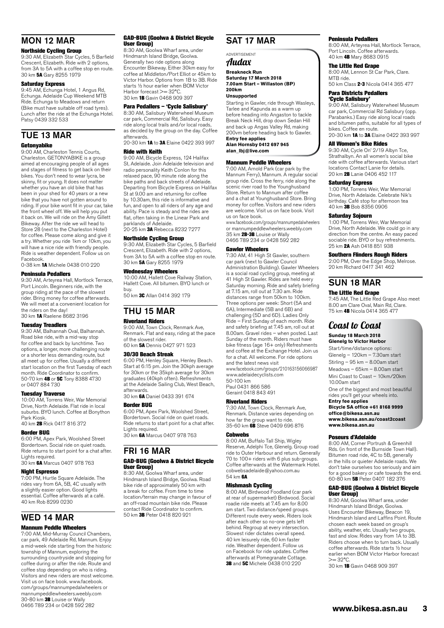### MON 12 MAR

#### Northside Cycling Group

9:30 AM, Elizabeth Star Cycles, 5 Barfield Crescent, Elizabeth. Ride with 2 options, from 3A to 5A with a coffee stop en route. 30 km 5A Gary 8255 1979

#### Saturday Express

9:45 AM, Echunga Hotel, 1 Angus Rd, Echunga. Adelaide Cup Weekend MTB Ride. Echunga to Meadows and return (Bike must have suitable off road tyres). Lunch after the ride at the Echunga Hotel. Patsy 0439 332 533

## TUE 13 MAR

#### Getonyabike

9:00 AM, Charleston Tennis Courts, Charleston. GETONYABIKE is a group aimed at encouraging people of all ages and stages of fitness to get back on their bikes. You don't need to wear lycra, be skinny, fit or young. It does not matter whether you have an old bike that has been in your shed for 40 years or a new bike that you have not gotten around to riding. If your bike wont fit in your car, take the front wheel off. We will help you put it back on. We will ride on the Amy Gillett Bikeway. After the ride we will head to Store 28 (next to the Charleston Hotel) for coffee. Please come along and give it a try. Whether you ride 1km or 10km, you will have a nice ride with friendly people. Ride is weather dependent. Follow us on Facebook. 0-38 km 1A Michele 0438 010 220

#### Peninsula Pedallers

9:30 AM, Arteyrea Hall, Mortlock Terrace, Port Lincoln. Beginners ride, with the group riding at the pace of the slowest rider. Bring money for coffee afterwards. We will meet at a convenient location for the riders on the day! 30 km 1A Raelene 8682 3196

#### Tuesday Treadlers

9:30 AM, Balhannah Oval, Balhannah. Road bike ride, with a mid-way stop for coffee and back by lunchtime. Two options, a longer, more challenging route or a shorter less demanding route, but all meet up for coffee. Usually a different start location on the first Tuesday of each month. Ride Coordinator to confirm. 50-70 km **4B** or 5C Tony 8388 4730 or 0407 884 730

#### Tuesday Traverse

10:00 AM, Torrens Weir, War Memorial Drive, North Adelaide. Flat ride in local suburbs. BYO lunch. Coffee at Bonython Park Kiosk. r ank Klosk.<br>40 km **2B** Rick 0417 816 379

#### Border BUG

6:00 PM, Apex Park, Woolshed Street Bordertown. Social ride on quiet roads. Ride returns to start point for a chat after. Lights required.

30 km 6A Marcus 0407 978 763

#### Night Espresso

7:00 PM, Hurtle Square Adelaide. The rides vary from 6A, 5B, 4C usually with a slightly easier option. Good lights essential. Coffee afterwards at a café. 40 km Rob 8299 0230

### WED 14 MAR

#### Mannum Peddle Wheelers

7:00 AM, Mid-Murray Council Chambers, car park, 49 Adelaide Rd, Mannum. Enjoy a mid-week ride starting from the historic township of Mannum, exploring the surrounding countryside and stopping for coffee during or after the ride. Route and coffee stop depending on who is riding. Visitors and new riders are most welcome. Visit us on face book. www.facebook. com/groups/mannumpedalwheelers or mannumpeddlewheelers.weebly.com mannumpcuurewriecicre.wee<br>30-80 km 3B Louise or Wally 0466 789 234 or 0428 592 282

#### GAD-BUG (Goolwa & District Bicycle User Group)

8:30 AM, Goolwa Wharf area, under Hindmarsh Island Bridge, Goolwa. Generally two ride options along Encounter Bikeway. Either 30km easy for coffee at Middleton/Port Elliot or 45km to Victor Harbor. Options from 1B to 3B. Ride starts ½ hour earlier when BOM Victor Harbor forecast >= 32°C 30 km 1B Gavin 0468 909 397

#### Para Pedallers – 'Cycle Salisbury'

8:30 AM, Salisbury Waterwheel Museum car park, Commercial Rd, Salisbury. Easy ride along local trails and/or local roads, as decided by the group on the day. Coffee afterwards.

20-30 km 1A to 3A Elaine 0422 393 997 Ride with Keith

9:00 AM, Bicycle Express, 124 Halifax St, Adelaide. Join Adelaide television and radio personality Keith Conlon for this relaxed pace, 90 minute ride along the bike paths and back streets of Adelaide. Departing from Bicycle Express on Halifax St at 9.00 am and returning for coffee by 10.30am, this ride is informative and fun, and open to all riders of any age and ability. Pace is steady and the rides are flat, often taking in the Linear Park and parklands of Adelaide.

20-25 km 3A Rebecca 8232 7277

#### Northside Cycling Group

9:30 AM, Elizabeth Star Cycles, 5 Barfield Crescent, Elizabeth. Ride with 2 options, from 3A to 5A with a coffee stop en route. 30 km 5A Gary 8255 1979

#### Wednesday Wheelers

10:00 AM, Hallett Cove Railway Station, Hallett Cove. All bitumen. BYO lunch or buy.

50 km **3C** Allan 0414 392 179

#### THU 15 MAR Riverland Riders

#### 9:00 AM, Town Clock, Renmark Ave.

Renmark. Flat and easy, riding at the pace of the slowest rider. 60 km 5A Dennis 0427 971 523

#### 30/30 Beach Streak

6:00 PM, Henley Square, Henley Beach. Start at 6:15 pm. Join the 30kph average for 30km or the 35kph average for 30km graduates (40kph often). Refreshments at the Adelaide Sailing Club, West Beach, afterwards. 30 km 6A Daniel 0433 391 674

Border BUG

6:00 PM, Apex Park, Woolshed Street, Bordertown. Social ride on quiet roads. Ride returns to start point for a chat after. Lights required. 30 km 6A Marcus 0407 978 763

### FRI 16 MAR GAD-BUG (Goolwa & District Bicycle

### User Group)

8:30 AM, Goolwa Wharf area, under Hindmarsh Island Bridge, Goolwa. Road bike ride of approximately 50 km with a break for coffee. From time to time location/terrain may change in favour of an off-road mountain bike ride. Please contact Ride Coordinator to confirm. 50 km 3B Peter 0418 820 921

### SAT 17 MAR

#### ADVERTISEMENT

Audax

**Breakneck Run Saturday 17 March 2018 7.00am Start – Willaston (BP) 200km**

#### **Unsupported**

Starting in Gawler, ride through Wasleys, Tarlee and Kapunda as a warm up before heading into Angaston to tackle Break Neck Hill, drop down Sedan Hill and back up Angas Valley Rd, making 200vm before heading back to Gawler. **Entry fee applies**

**Alan Hornsby 0412 697 945 alan\_lbj@live.com**

#### Mannum Peddle Wheelers

7:00 AM, Arnold Park (car park by the Mannum Ferry), Mannum. A regular social group ride. Cross the ferry, ride along the scenic river road to the Younghusband Store. Return to Mannum after coffee and a chat at Younghusband Store. Bring money for coffee. Visitors and new riders are welcome. Visit us on face book. Visit us on face book.

www.facebook.com/groups/mannumpedalwheelers or mannumpeddlewheelers.weebly.com 35 km 2B-3B Louise or Wally 0466 789 234 or 0428 592 282

#### Gawler Wheelers

7:30 AM, 41 High St Gawler, southern car park (next to Gawler Council Administration Building). Gawler Wheelers is a social road cycling group, meeting at 41 High St Gawler. Rides are held every Saturday morning. Ride and safety briefing at 7.15 am, roll out at 7.30 am. Ride distances range from 50km to 100km. Three options per week: Short (5A and 6A), Intermediate (5B and 6B) and challenging (5D and 6D). Ladies Only Ride – First Sunday of each month. Ride and safety briefing at 7.45 am, roll out at 8.00am. Gravel rides – when posted. Last Sunday of the month. Riders must have bike fitness (age 16+ only) Refreshments and coffee at the Exchange Hotel. Join us for a chat. All welcome. For ride options and the latest news visit www.facebook.com/groups/210163156066987 www.adelaidecycl[ists.com](http://www.adelaidecyclists.com) 50-100 km Paul 0431 866 586 Geraint 0418 843 491

#### Riverland Riders

7:30 AM, Town Clock, Renmark Ave, Renmark. Distance varies depending on how far the group want to ride. 35-60 km 6B Steve 0409 696 876

#### **Cohwebs**

8:00 AM, Buffalo Tall Ship, Wigley Reserve, Adelphi Tce, Glenelg. Group road ride to Outer Harbour and return. Generally 70 to 100+ riders with 6 plus sub-groups. Coffee afterwards at the Watermark Hotel. cobwebsadelaide@yahoo.com.au 54 km 6A

#### Mishmash Cycling

8:00 AM, Birdwood Foodland (car park at rear of supermarket) Birdwood. Social roadie ride meets at 7.45 am for 8.00 am start. Two distance/speed groups. Different route every week. Riders look after each other so no-one gets left behind. Regroup at every intersection. Slowest rider dictates overall speed. 40 km leisurely ride, 60 km faster ride. Weather dependent. Follow us on Facebook for ride updates. Coffee afterwards at Pomegranate Cottage. **3B** and **5C** Michele 0438 010 220

#### Peninsula Pedallers

8:00 AM, Arteyrea Hall, Mortlock Terrace, Port Lincoln. Coffee afterwards. 40 km 4B Mary 8683 0915

#### The Little Red Grape

8:00 AM, Lennon St Car Park, Clare. MTB ride.

50 km Class 2-3 Nicola 0414 365 477 Para Districts Pedallers

'Cycle Salisbury' 9:00 AM, Salisbury Waterwheel Museum car park, Commercial Rd Salisbury (opp. Parabanks.) Easy ride along local roads and bitumen paths, suitable for all types of bikes. Coffee en route. 20020 20022 20032 2004<br>20-30 km **1A** to **3A** Elaine 0422 393 997

### All Women's Bike Rides

9:30 AM, Cycle On' 2/19 Albyn Tce, Strathalbyn. An all women's social bike ride with coffee afterwards. Various start locations Contact Lanie for details. 20 km 2B Lanie 0406 452 117

#### Saturday Express

1:00 PM, Torrens Weir, War Memorial Drive, North Adelaide. Celebrate Nik's birthday. Café stop for afternoon tea 40 km 3B Bob 8356 0906

#### Saturday Sojourn

1:00 PM, Torrens Weir, War Memorial Drive, North Adelaide. We could go in any direction from the centre. An easy paced sociable ride. BYO or buy refreshments. 25 km 2A Ash 0418 851 938

#### Southern Flinders Rough Riders

2:00 PM, Over the Edge Shop, Melrose. 20 km Richard 0417 341 462

### SUN 18 MAR

#### The Little Red Grape

7:45 AM, The Little Red Grape Also meet 8.00 am Clare Oval, Main Rd, Clare. 75 km 4B Nicola 0414 365 477

### Coast to Coast **Sunday 18 March 2018**

#### **Glenelg to Victor Harbor**

Start/time/distance options: Glenelg – 120km – 7.30am start Stirling – 95 km – 8.00am start Meadows – 65km – 8.00am start Mini Coast to Coast – 10km/20km 10.00am start One of the biggest and most beautiful rides you'll get your wheels into. **Entry fee applies**

**Bicycle SA office +61 8168 9999 office@bikesa.asn.au [www.bikesa.asn.au/coast2coast](http://www.bikesa.asn.au/coast2coast) [www.bikesa.asn.au](http://www.bikesa.asn.au/)**

#### Poseurs d'Adelaide

8:00 AM, Corner Portrush & Greenhill Rds. (in front of the Burnside Town Hall). Bitumen road ride, 4C to 5B, generally in the hills or quieter Adelaide roads. We don't take ourselves too seriously and aim for a good bakery or cafe towards the end. 60-80 km 5B Peter 0407 182 376

#### GAD-BUG (Goolwa & District Bicycle User Group)

8:30 AM, Goolwa Wharf area, under Hindmarsh Island Bridge, Goolwa. Uses Encounter Bikeway, Beacon 19, Hindmarsh Island and Laffins Point. Route chosen each week based on group's ability, weather, etc. Usually two groups, fast and slow. Rides vary from 1A to 3B. Riders choose when to turn back. Usually coffee afterwards. Ride starts ½ hour earlier when BOM Victor Harbor forecast  $>= 32^{\circ}C$ 

30 km 1B Gavin 0468 909 397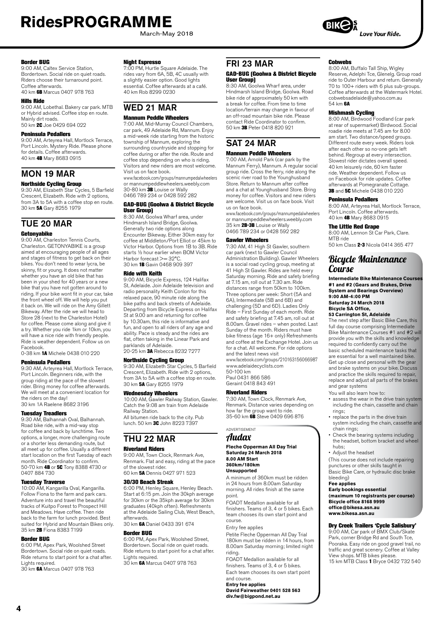March-May 2018

#### Border BUG

9:00 AM, Caltex Service Station, Bordertown. Social ride on quiet roads. Riders choose their turnaround point. Coffee afterwards. 40 km 6B Marcus 0407 978 763

#### Hills Ride

9:00 AM, Lobethal. Bakery car park. MTB or Hybrid advised. Coffee stop en route. Mainly dirt roads. 50 km 2C Joe 0429 694 022

#### Peninsula Pedallers

9:00 AM, Arteyrea Hall, Mortlock Terrace, Port Lincoln. Mystery Ride. Please phone for details. Coffee afterwards. 40 km 4B Mary 8683 0915

### MON 19 MAR

#### Northside Cycling Group

9:30 AM, Elizabeth Star Cycles, 5 Barfield Crescent, Elizabeth. Ride with 2 options, from 3A to 5A with a coffee stop en route.<br>30 km **5A** Gary 8255 1979

### TUE 20 MAR **Getonyabike**

9:00 AM, Charleston Tennis Courts, Charleston. GETONYABIKE is a group aimed at encouraging people of all ages and stages of fitness to get back on their bikes. You don't need to wear lycra, be skinny, fit or young. It does not matter whether you have an old bike that has been in your shed for 40 years or a new bike that you have not gotten around to riding. If your bike wont fit in your car, take the front wheel off. We will help you put it back on. We will ride on the Amy Gillett Bikeway. After the ride we will head to Store 28 (next to the Charleston Hotel) for coffee. Please come along and give it a try. Whether you ride 1km or 10km, you will have a nice ride with friendly people. Ride is weather dependent. Follow us on Facebook.

#### 0-38 km 1A Michele 0438 010 220

#### Peninsula Pedallers

9:30 AM, Arteyrea Hall, Mortlock Terrace, Port Lincoln. Beginners ride, with the group riding at the pace of the slowest rider. Bring money for coffee afterwards. We will meet at a convenient location for the riders on the day! 30 km 1A Raelene 8682 3196

#### Tuesday Treadlers

9:30 AM, Balhannah Oval, Balhannah. Road bike ride, with a mid-way stop for coffee and back by lunchtime. Two options, a longer, more challenging route or a shorter less demanding route, but all meet up for coffee. Usually a different start location on the first Tuesday of each month. Ride Coordinator to confirm. 50-70 km **4B** or 5C Tony 8388 4730 or 0407 884 730

**Tuesday Traverse**<br>10:00 AM, Kangarilla Oval, Kangarilla. Follow Fiona to the farm and park cars. Adventure into and travel the beautiful tracks of Kuitpo Forest to Prospect Hill and Meadows. Have coffee. Then ride back to the farm for lunch provided. Best suited for Hybrid and Mountain Bikes only. 35 km 2B Fiona 8383 7199

#### Border BUG

6:00 PM, Apex Park, Woolshed Street Bordertown. Social ride on quiet roads. Ride returns to start point for a chat after. Lights required.

30 km 6A Marcus 0407 978 763

#### Night Espresso

7:00 PM, Hurtle Square Adelaide. The rides vary from 6A, 5B, 4C usually with a slightly easier option. Good lights essential. Coffee afterwards at a café. 40 km Rob 8299 0230

## WED 21 MAR

### Mannum Peddle Wheelers

7:00 AM, Mid-Murray Council Chambers, car park, 49 Adelaide Rd, Mannum. Enjoy a mid-week ride starting from the historic township of Mannum, exploring the surrounding countryside and stopping for coffee during or after the ride. Route and coffee stop depending on who is riding. Visitors and new riders are most welcome. Visit us on face book. www.facebook.com/groups/mannumpedalwheelers or mannumpeddlewheelers.weebly.com 30-80 km 3B Louise or Wally 0466 789 234 or 0428 592 282

#### GAD-BUG (Goolwa & District Bicycle User Group)

8:30 AM, Goolwa Wharf area, under Hindmarsh Island Bridge, Goolwa. Generally two ride options along Encounter Bikeway. Either 30km easy for coffee at Middleton/Port Elliot or 45km to Victor Harbor. Options from 1B to 3B. Ride starts ½ hour earlier when BOM Victor Harbor forecast >= 32°C. 30 km 1B Gavin 0468 909 397

#### Ride with Keith

9:00 AM, Bicycle Express, 124 Halifax St, Adelaide. Join Adelaide television and radio personality Keith Conlon for this relaxed pace, 90 minute ride along the bike paths and back streets of Adelaide. Departing from Bicycle Express on Halifax St at 9.00 am and returning for coffee by 10.30am, this ride is informative and fun, and open to all riders of any age and ability. Pace is steady and the rides are flat, often taking in the Linear Park and parklands of Adelaide. 20-25 km 3A Rebecca 8232 7277

#### Northside Cycling Group

9:30 AM, Elizabeth Star Cycles, 5 Barfield Crescent, Elizabeth. Ride with 2 options, from 3A to 5A with a coffee stop en route. 30 km 5A Gary 8255 1979

#### Wednesday Wheelers

10:00 AM, Gawler Railway Station, Gawler. Catch the 9:08 am train from Adelaide Railway Station. All bitumen ride back to the city. Pub lunch. 50 km 3C John 8223 7397

### THU 22 MAR

#### Riverland Riders

9:00 AM, Town Clock, Renmark Ave, Renmark. Flat and easy, riding at the pace of the slowest rider. 60 km 5A Dennis 0427 971 523

#### 30/30 Beach Streak

6:00 PM, Henley Square, Henley Beach. Start at 6:15 pm. Join the 30kph average for 30km or the 35kph average for 30km graduates (40kph often). Refreshments at the Adelaide Sailing Club, West Beach, afterwards.

30 km 6A Daniel 0433 391 674

#### Border BUG

6:00 PM, Apex Park, Woolshed Street, Bordertown. Social ride on quiet roads. Ride returns to start point for a chat after. Lights required. 30 km 6A Marcus 0407 978 763

### FRI 23 MAR

#### GAD-BUG (Goolwa & District Bicycle User Group)

8:30 AM, Goolwa Wharf area, under Hindmarsh Island Bridge, Goolwa. Road bike ride of approximately 50 km with a break for coffee. From time to time location/terrain may change in favour of an off-road mountain bike ride. Please contact Ride Coordinator to confirm. 50 km 3B Peter 0418 820 921

#### SAT 24 MAR Mannum Peddle Wheelers

7:00 AM, Arnold Park (car park by the Mannum Ferry), Mannum. A regular social group ride. Cross the ferry, ride along the scenic river road to the Younghusband Store. Return to Mannum after coffee and a chat at Younghusband Store. Bring money for coffee. Visitors and new riders are welcome. Visit us on face book. Visit us on face book.

www.facebook.com/groups/mannumpedalwheelers or mannumpeddlewheelers.weebly.com<br>35 km **2B-3B** Louise or Wally 0466 789 234 or 0428 592 282

#### Gawler Wheelers

7:30 AM, 41 High St Gawler, southern car park (next to Gawler Council Administration Building). Gawler Wheelers is a social road cycling group, meeting at 41 High St Gawler. Rides are held every Saturday morning. Ride and safety briefing at 7.15 am, roll out at 7.30 am. Ride distances range from 50km to 100km. Three options per week: Short (5A and 6A), Intermediate (5B and 6B) and challenging (5D and 6D). Ladies Only Ride – First Sunday of each month. Ride and safety briefing at 7.45 am, roll out at 8.00am. Gravel rides – when posted. Last Sunday of the month. Riders must have bike fitness (age 16+ only) Refreshments and coffee at the Exchange Hotel. Join us for a chat. All welcome. For ride options and the latest news visit

www.facebook.com/groups/210163156066987 www.adelaidecycl[ists.com](http://www.adelaidecyclists.com) 50-100 km Paul 0431 866 586

Geraint 0418 843 491

#### Riverland Riders

7:30 AM, Town Clock, Renmark Ave. Renmark. Distance varies depending on how far the group want to ride. 35-60 km **6B** Steve 0409 696 876

#### ADVERTISEMENT Audax

#### **Fleche Opperman All Day Trial Saturday 24 March 2018 8.00 AM Start 360km/180km Unsupported**

A minimum of 360km must be ridden in 24 hours from 8.00am Saturday morning. All rides finish at the same point.

.<br>FOADT Medallion available for all finishers. Teams of 3, 4 or 5 bikes. Each team chooses its own start point and course.

#### Entry fee applies

Petite Fleche Opperman All Day Trial 180km must be ridden in 14 hours, from 8.00am Saturday morning; limited night riding.

FOADT Medallion available for all finishers. Teams of 3, 4 or 5 bikes. Each team chooses its own start point

and course. **Entry fee applies David Fairweather 0401 528 563 div.fw@bigpond.net.au**

#### Cobwebs

8:00 AM, Buffalo Tall Ship, Wigley Reserve, Adelphi Tce, Glenelg. Group road ride to Outer Harbour and return. Generally 70 to 100+ riders with 6 plus sub-groups. Coffee afterwards at the Watermark Hotel. cobwebsadelaide@yahoo.com.au 54 km 6A

#### Mishmash Cycling

8:00 AM, Birdwood Foodland (car park at rear of supermarket) Birdwood. Social roadie ride meets at 7.45 am for 8.00 am start. Two distance/speed groups. Different route every week. Riders look after each other so no-one gets left behind. Regroup at every intersection. Slowest rider dictates overall speed. 40 km leisurely ride, 60 km faster ride. Weather dependent. Follow us on Facebook for ride updates. Coffee afterwards at Pomegranate Cottage. 3B and 5C Michele 0438 010 220

#### Peninsula Pedallers

8:00 AM, Arteyrea Hall, Mortlock Terrace, Port Lincoln. Coffee afterwards. 40 km 4B Mary 8683 0915

#### The Little Red Grape

8:00 AM, Lennon St Car Park, Clare. MTB ride 50 km Class 2-3 Nicola 0414 365 477

### Bicycle Maintenance **Course**

**Intermediate Bike Maintenance Courses #1 and #2 (Gears and Brakes, Drive System and Bearings Overview) 9:00 AM-4:00 PM Saturday 24 March 2018 Bicycle SA Office, 53 Carrington St, Adelaide**

The next step after Basic Bike Care, this full day course comprising Intermediate Bike Maintenance Courses #1 and #2 will provide you with the skills and knowledge required to confidently carry out the basic scheduled maintenance tasks that are essential for a well maintained bike. Get up close and personal with the gear and brake systems on your bike. Discuss and practice the skills required to repair, replace and adjust all parts of the brakes and gear systems

- You will also learn how to:
- assess the wear in the drive train system including the chain, cassette and chain rings;
- replace the parts in the drive train system including the chain, cassette and chain rings;
- Check the bearing systems including the headset, bottom bracket and wheel hubs;
- Adjust the headset

(This course does not include repairing punctures or other skills taught in Basic Bike Care, or hydraulic disc brake bleeding)

#### **Fee applies**

**Early bookings essential (maximum 10 registrants per course) Bicycle office 8168 9999 office@bikesa.asn.au www.bikesa.asn.au**

#### Dry Creek Trailers 'Cycle Salisbury'

9:00 AM, Car park of BMX Club/Skate Park, corner Bridge Rd and South Tce, Pooraka. Easy ride on good gravel trail, no traffic and great scenery. Coffee at Valley View shops. MTB bikes please. 15 km MTB Class 1 Bryce 0432 732 540



**4**

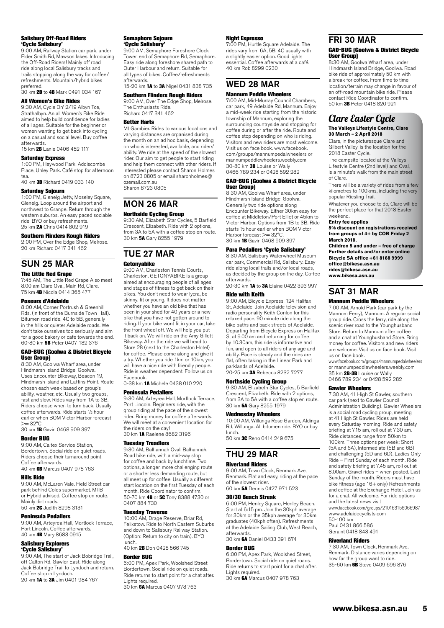#### Salisbury Off-Road Riders 'Cycle Salisbury'

9:00 AM, Railway Station car park, under Elder Smith Rd, Mawson lakes. Introducing the Off-Road Riders! Mainly off road ride along local Salisbury tracks and trails stopping along the way for coffee/ refreshments. Mountain/hybrid bikes

### preferred.<br>30 km **2B** to **4B** Mark 0491 034 167

#### All Women's Bike Rides

9:30 AM, Cycle On' 2/19 Albyn Tce, Strathalbyn. An all Women's Bike Ride aimed to help build confidence for ladies of all ages. Suitable for the beginner or women wanting to get back into cycling on a casual and social level. Buy coffee afterwards.

15 km 2B Lanie 0406 452 117

#### Saturday Express

1:00 PM, Heywood Park, Addiscombe Place, Unley Park. Café stop for afternoon tea.

### 40 km 3B Richard 0419 033 140

#### Saturday Sojourn

1:00 PM, Glenelg Jetty, Moseley Square, Glenelg. Loop around the airport and northwest to Grange. Return through the western suburbs. An easy paced sociable ride. BYO or buy refreshments.<br>25 km 2**A** Chris 0414 802 919

#### Southern Flinders Rough Riders

2:00 PM, Over the Edge Shop, Melrose. 20 km Richard 0417 341 462

### SUN 25 MAR

The Little Red Grape 7:45 AM, The Little Red Grape Also meet 8.00 am Clare Oval, Main Rd, Clare. 75 km 4B Nicola 0414 365 477

#### Poseurs d'Adelaide

8:00 AM, Corner Portrush & Greenhill Rds. (in front of the Burnside Town Hall). Bitumen road ride, 4C to 5B, generally in the hills or quieter Adelaide roads. We don't take ourselves too seriously and aim for a good bakery or cafe towards the end. 60-80 km 5B Peter 0407 182 376

#### GAD-BUG (Goolwa & District Bicycle User Group)

8:30 AM, Goolwa Wharf area, under Hindmarsh Island Bridge, Goolwa. Uses Encounter Bikeway, Beacon 19, Hindmarsh Island and Laffins Point. Route chosen each week based on group's ability, weather, etc. Usually two groups, fast and slow. Rides vary from 1A to 3B. Riders choose when to turn back. Usually coffee afterwards. Ride starts ½ hour earlier when BOM Victor Harbor forecast  $>= 32^{\circ}C$ 

30 km 1B Gavin 0468 909 397

#### Border BUG

9:00 AM, Caltex Service Station, Bordertown. Social ride on quiet roads. Riders choose their turnaround point. Coffee afterwards. 40 km 6B Marcus 0407 978 763

#### Hills Ride

9:00 AM, McLaren Vale. Field Street car park behind Coles supermarket. MTB or Hybrid advised. Coffee stop en route. Mainly dirt roads.<br>50 km **2C** Judith 8298 3131

#### Peninsula Pedallers

9:00 AM, Arteyrea Hall, Mortlock Terrace, Port Lincoln. Coffee afterwards. 40 km 4B Mary 8683 0915

## Salisbury Explorers

**'Cycle Salisbury'**<br>9:00 AM, The start of Jack Bobridge Trail, off Calton Rd, Gawler East. Ride along Jack Bobridge Trail to Lyndoch and return. Coffee stop in Lyndoch. 20 km **1A** to **3A** Jim 0401 984 767

#### Semaphore Sojourn 'Cycle Salisbury'

9:00 AM, Semaphore Foreshore Clock Tower, end of Semaphore Rd, Semaphore. Easy ride along foreshore shared path to Outer Harbour and return. Suitable for all types of bikes. Coffee/refreshments afterwards.

15-20 km **1A** to **3A** Nigel 0431 838 735

#### Southern Flinders Rough Riders

9:00 AM, Over The Edge Shop, Melrose. The Enthusiasts Ride. Richard 0417 341 462

#### Better Harts

Mt Gambier. Rides to various locations and varying distances are organised during the month on an ad hoc basis, depending on who is interested, available, and riders' ability. We ride at the speed of the slowest rider. Our aim to get people to start riding and help them connect with other riders. If interested please contact Sharon Holmes on 8723 0805 or email sharonholmes@ ozemail.com.au Sharon 8723 0805

#### MON 26 MAR Northside Cycling Group

9:30 AM, Elizabeth Star Cycles, 5 Barfield Crescent, Elizabeth. Ride with 2 options, from 3A to 5A with a coffee stop en route. 30 km 5A Gary 8255 1979

## TUE 27 MAR

#### Getonyabike

9:00 AM, Charleston Tennis Courts, Charleston. GETONYABIKE is a group aimed at encouraging people of all ages and stages of fitness to get back on their bikes. You don't need to wear lycra, be skinny, fit or young. It does not matter whether you have an old bike that has been in your shed for 40 years or a new bike that you have not gotten around to riding. If your bike wont fit in your car, take the front wheel off. We will help you put it back on. We will ride on the Amy Gillett Bikeway. After the ride we will head to Store 28 (next to the Charleston Hotel) for coffee. Please come along and give it a try. Whether you ride 1km or 10km, you will have a nice ride with friendly people. Ride is weather dependent. Follow us on Facebook.

0-38 km **1A** Michele 0438 010 220

#### Peninsula Pedallers

9:30 AM, Artevrea Hall, Mortlock Terrace Port Lincoln. Beginners ride, with the group riding at the pace of the slowest rider. Bring money for coffee afterwards. We will meet at a convenient location for the riders on the day! 30 km 1A Raelene 8682 3196

### Tuesday Treadlers

9:30 AM, Balhannah Oval, Balhannah. Road bike ride, with a mid-way stop for coffee and back by lunchtime. Two options, a longer, more challenging route or a shorter less demanding route, but all meet up for coffee. Usually a different start location on the first Tuesday of each month. Ride Coordinator to confirm. 50-70 km 4B or 5C Tony 8388 4730 or 0407 884 730

#### Tuesday Traverse

10:00 AM, Drage Reserve, Briar Rd, Felixstow. Ride to North Eastern Suburbs and down to Salisbury Railway Station. (Option: Return to city on train). BYO lunch.

40 km 2B Don 0428 566 745

#### Border BUG

6:00 PM, Apex Park, Woolshed Street Bordertown. Social ride on quiet roads. Ride returns to start point for a chat after.

Lights required.<br>30 km **6A** Marcus 0407 978 763

#### Night Espresso

7:00 PM, Hurtle Square Adelaide. The rides vary from 6A, 5B, 4C usually with a slightly easier option. Good lights essential. Coffee afterwards at a café. 40 km Rob 8299 0230

#### WED 28 MAR

#### Mannum Peddle Wheelers

7:00 AM, Mid-Murray Council Chambers, car park, 49 Adelaide Rd, Mannum. Enjoy a mid-week ride starting from the historic township of Mannum, exploring the surrounding countryside and stopping for coffee during or after the ride. Route and coffee stop depending on who is riding. Visitors and new riders are most welcome. Visit us on face book. www.facebook. com/groups/mannumpedalwheelers or mannumpeddlewheelers.weebly.com<br>30-80 km 3B Louise or Wally 0466 789 234 or 0428 592 282

#### GAD-BUG (Goolwa & District Bicycle User Group)

8:30 AM, Goolwa Wharf area, under Hindmarsh Island Bridge, Goolwa. Generally two ride options along Encounter Bikeway. Either 30km easy for coffee at Middleton/Port Elliot or 45km to Victor Harbor. Options from 1B to 3B. Ride starts ½ hour earlier when BOM Victor Harbor forecast >= 32°C 30 km 1B Gavin 0468 909 397

#### Para Pedallers 'Cycle Salisbury'

8:30 AM, Salisbury Waterwheel Museum car park, Commercial Rd, Salisbury. Easy ride along local trails and/or local roads, as decided by the group on the day. Coffee

afterwards.<br>20–30 km **1A** to **3A** Elaine 0422 393 997

### Ride with Keith

9:00 AM, Bicycle Express, 124 Halifax St, Adelaide. Join Adelaide television and radio personality Keith Conlon for this relaxed pace, 90 minute ride along the bike paths and back streets of Adelaide. Departing from Bicycle Express on Halifax St at 9.00 am and returning for coffee by 10.30am, this ride is informative and fun, and open to all riders of any age and ability. Pace is steady and the rides are flat, often taking in the Linear Park and parklands of Adelaide.<br>20-25 km **3A** Rebecca 8232 7277

**Northside Cycling Group**<br>9:30 AM, Elizabeth Star Cycles, 5 Barfield Crescent, Elizabeth. Ride with 2 options, from 3A to 5A with a coffee stop en route. 30 km 5A Gary 8255 1979

#### Wednesday Wheelers

10:00 AM, Willunga Rose Garden, Aldinga Rd, Willunga. All bitumen ride. BYO or buy lunch. 50 km 3C Reno 0414 249 675

### THU 29 MAR

### Riverland Riders

9:00 AM, Town Clock, Renmark Ave, Renmark. Flat and easy, riding at the pace of the slowest rider. 60 km 5A Dennis 0427 971 523

### 30/30 Beach Streak

6:00 PM, Henley Square, Henley Beach. Start at 6:15 pm. Join the 30kph average for 30km or the 35kph average for 30km graduates (40kph often). Refreshments at the Adelaide Sailing Club, West Beach, afterwards.

30 km 6A Daniel 0433 391 674

#### Border BUG

6:00 PM, Apex Park, Woolshed Street, Bordertown. Social ride on quiet roads. Ride returns to start point for a chat after. Lights required.

30 km 6A Marcus 0407 978 763

### FRI 30 MAR

#### GAD-BUG (Goolwa & District Bicycle User Group)

8:30 AM, Goolwa Wharf area, under Hindmarsh Island Bridge, Goolwa. Road bike ride of approximately 50 km with a break for coffee. From time to time location/terrain may change in favour of an off-road mountain bike ride. Please contact Ride Coordinator to confirm. 50 km 3B Peter 0418 820 921

#### Clare Easter Cycle **The Valleys Lifestyle Centre, Clare 30 March – 2 April 2018**

Clare, in the picturesque Clare and Gilbert Valley, is the location for the 2018 Easter Cycle.

The campsite located at the Valleys Lifestyle Centre (2nd level) and Oval, is a minute's walk from the main street of Clare.

There will be a variety of rides from a few kilometres to 100kms, including the very popular Riesling Trail.

Whatever you choose to do, Clare will be the perfect place for that 2018 Easter

#### weekend. **Entry fee applies**

**5% discount on registrations received from groups of 4+ by COB Friday 2 March 2018.**

**Children 5 and under – free of charge Further details and/or enter online Bicycle SA office +61 8168 9999 office@bikesa.asn.au**

**[rides@bikesa.asn.au](mailto:rides@bikesa.asn.au)**

**[www.bikesa.asn.au](http://www.bikesa.asn.au/)**

### SAT 31 MAR

#### Mannum Peddle Wheelers

7:00 AM, Arnold Park (car park by the Mannum Ferry), Mannum. A regular social group ride. Cross the ferry, ride along the scenic river road to the Younghusband Store. Return to Mannum after coffee and a chat at Younghusband Store. Bring money for coffee. Visitors and new riders are welcome. Visit us on face book. Visit us on face book.

www.facebook.com/groups/mannumpedalwheelers or mannumpeddlewheelers.weebly.com 35 km **2B-3B** Louise or Wally 0466 789 234 or 0428 592 282

#### Gawler Wheelers

7:30 AM, 41 High St Gawler, southern car park (next to Gawler Council Administration Building). Gawler Wheelers is a social road cycling group, meeting at 41 High St Gawler. Rides are held every Saturday morning. Ride and safety briefing at 7.15 am, roll out at 7.30 am. Ride distances range from 50km to 100km. Three options per week: Short (5A and 6A), Intermediate (5B and 6B) and challenging (5D and 6D). Ladies Only Ride – First Sunday of each month. Ride and safety briefing at 7.45 am, roll out at 8.00am. Gravel rides – when posted. Last Sunday of the month. Riders must have bike fitness (age 16+ only) Refreshments and coffee at the Exchange Hotel. Join us for a chat. All welcome. For ride options and the latest news visit www.facebook.com/groups/210163156066987 www.adelaidecyc[lists.com](http://www.adelaidecyclists.com) 50-100 km Paul 0431 866 586

**www.bikesa.asn.au 5**

Renmark. Distance varies depending on how far the group want to ride. 35-60 km 6B Steve 0409 696 876

Geraint 0418 843 491

#### Riverland Riders 7:30 AM, Town Clock, Renmark Ave,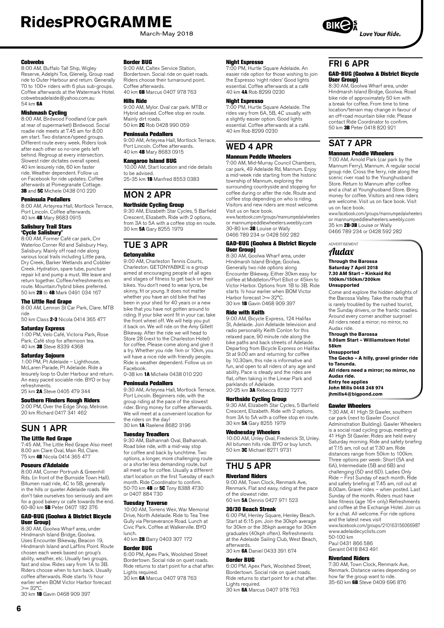March-May 2018

#### Cobwebs

8:00 AM, Buffalo Tall Ship, Wigley Reserve, Adelphi Tce, Glenelg. Group road ride to Outer Harbour and return. Generally 70 to 100+ riders with 6 plus sub-groups. Coffee afterwards at the Watermark Hotel. cobwebsadelaide@yahoo.com.au 54 km 6A

**Mishmash Cycling**<br>8:00 AM, Birdwood Foodland (car park at rear of supermarket) Birdwood. Social roadie ride meets at 7.45 am for 8.00 am start. Two distance/speed groups. Different route every week. Riders look after each other so no-one gets left behind. Regroup at every intersection. Slowest rider dictates overall speed. 40 km leisurely ride, 60 km faster ride. Weather dependent. Follow us on Facebook for ride updates. Coffee afterwards at Pomegranate Cottage.<br>**3B** and **5C** Michele 0438 010 220

#### Peninsula Pedallers

8:00 AM, Arteyrea Hall, Mortlock Terrace, Port Lincoln. Coffee afterwards. 40 km 4B Mary 8683 0915

### Salisbury Trail Stars

**'Cycle Salisbury'**<br>8:00 AM, Former Café car park, Cnr Waterloo Corner Rd and Salisbury Hwy, Salisbury. Mainly off road ride along various local trails including Little para, Dry Creek, Barker Wetlands and Cobbler Creek. Hydration, spare tube, puncture repair kit and pump a must. We leave and return together. Coffee/refreshments en route. Mountain/hybrid bikes preferred. 50 km 2B to 4B Mark 0491 034 167

#### The Little Red Grape

8:00 AM, Lennon St Car Park, Clare. MTB ride

50 km Class 2-3 Nicola 0414 365 477

#### Saturday Express

1:00 PM, Velo Café, Victoria Park, Rose Park. Café stop for afternoon tea. 40 km 3B Steve 8339 4368

#### Saturday Sojourn

1:00 PM, Pt Adelaide – Lighthouse, McLaren Parade, Pt Adelaide. Ride a leisurely loop to Outer Harbour and return. An easy paced sociable ride. BYO or buy refreshments.

25 km 2A Steve 0405 479 344

#### Southern Flinders Rough Riders 2:00 PM, Over the Edge Shop, Melrose.

20 km Richard 0417 341 462

### SUN 1 APR

### The Little Red Grape

7:45 AM, The Little Red Grape Also meet 8.00 am Clare Oval, Main Rd, Clare. 75 km 4B Nicola 0414 365 477

#### Poseurs d'Adelaide

8:00 AM, Corner Portrush & Greenhill Rds. (in front of the Burnside Town Hall). Bitumen road ride, 4C to 5B, generally in the hills or quieter Adelaide roads. We don't take ourselves too seriously and aim for a good bakery or cafe towards the end. 60-80 km 5B Peter 0407 182 376

#### GAD-BUG (Goolwa & District Bicycle User Group)

8:30 AM, Goolwa Wharf area, under Hindmarsh Island Bridge, Goolwa. Uses Encounter Bikeway, Beacon 19, Hindmarsh Island and Laffins Point. Route chosen each week based on group's ability, weather, etc. Usually two groups fast and slow. Rides vary from 1A to 3B. Riders choose when to turn back. Usually coffee afterwards. Ride starts ½ hour earlier when BOM Victor Harbor forecast  $>= 32^{\circ}C$ 

30 km 1B Gavin 0468 909 397

#### Border BUG

9:00 AM, Caltex Service Station, Bordertown. Social ride on quiet roads. Riders choose their turnaround point. Coffee afterwards. 40 km 6B Marcus 0407 978 763

#### Hills Ride

9:00 AM, Mylor. Oval car park. MTB or Hybrid advised. Coffee stop en route. Mainly dirt roads. 50 km 2C Rob 0428 990 059

#### Peninsula Pedallers

9:00 AM, Arteyrea Hall, Mortlock Terrace, Port Lincoln. Coffee afterwards. 40 km 4B Mary 8683 0915

#### Kangaroo Island BUG

10.00 AM, Start location and ride details to be advised. 25-35 km 1B Manfred 8553 0383

## MON 2 APR

Northside Cycling Group 9:30 AM, Elizabeth Star Cycles, 5 Barfield Crescent, Elizabeth. Ride with 2 options, from 3A to 5A with a coffee stop en route. 30 km 5A Gary 8255 1979

### TUE 3 APR **Getonyabike**

9:00 AM, Charleston Tennis Courts, Charleston. GETONYABIKE is a group aimed at encouraging people of all ages and stages of fitness to get back on their bikes. You don't need to wear lycra, be skinny, fit or young. It does not matter whether you have an old bike that has been in your shed for 40 years or a new bike that you have not gotten around to riding. If your bike wont fit in your car, take the front wheel off. We will help you put it back on. We will ride on the Amy Gillett Bikeway. After the ride we will head to Store 28 (next to the Charleston Hotel) for coffee. Please come along and give it a try. Whether you ride 1km or 10km, you will have a nice ride with friendly people. Ride is weather dependent. Follow us on Facebook.

0-38 km 1A Michele 0438 010 220

#### Peninsula Pedallers

9:30 AM, Arteyrea Hall, Mortlock Terrace, Port Lincoln. Beginners ride, with the group riding at the pace of the slowest rider. Bring money for coffee afterwards. We will meet at a convenient location for the riders on the day! 30 km 1A Raelene 8682 3196

#### Tuesday Treadlers

9:30 AM, Balhannah Oval, Balhannah. Road bike ride, with a mid-way stop for coffee and back by lunchtime. Two options, a longer, more challenging route or a shorter less demanding route, but all meet up for coffee. Usually a different start location on the first Tuesday of each month. Ride Coordinator to confirm. 50-70 km 4B or 5C Tony 8388 4730 or 0407 884 730

#### Tuesday Traverse

10:00 AM, Torrens Weir, War Memorial Drive, North Adelaide. Ride to Tea Tree Gully via Perseverance Road. Lunch at Civic Park. Coffee at Walkerville. BYO lunch.

40 km 2B Barry 0403 307 172

#### Border BUG

6:00 PM, Apex Park, Woolshed Street Bordertown. Social ride on quiet roads. Ride returns to start point for a chat after. Lights required. 30 km 6A Marcus 0407 978 763

#### Night Espresso

7:00 PM, Hurtle Square Adelaide. An easier ride option for those wishing to join the Espresso 'night riders' Good lights essential. Coffee afterwards at a café 40 km 4A Rob 8299 0230

#### Night Espresso

7:00 PM, Hurtle Square Adelaide. The rides vary from 6A, 5B, 4C usually with a slightly easier option. Good lights essential. Coffee afterwards at a café. 40 km Rob 8299 0230

# WED 4 APR

### Mannum Peddle Wheelers

7:00 AM, Mid-Murray Council Chambers, car park, 49 Adelaide Rd, Mannum. Enjoy a mid-week ride starting from the historic township of Mannum, exploring the surrounding countryside and stopping for coffee during or after the ride. Route and coffee stop depending on who is riding. Visitors and new riders are most welcome. Visit us on face book.

www.facebook.com/groups/mannumpedalwheelers or mannumpeddlewheelers.weebly.com 30-80 km 3B Louise or Wally 0466 789 234 or 0428 592 282

#### GAD-BUG (Goolwa & District Bicycle User Group)

8:30 AM, Goolwa Wharf area, under Hindmarsh Island Bridge, Goolwa. Generally two ride options along Encounter Bikeway. Either 30km easy for coffee at Middleton/Port Elliot or 45km to Victor Harbor. Options from 1B to 3B. Ride starts ½ hour earlier when BOM Victor Harbor forecast >= 32°C 30 km 1B Gavin 0468 909 397

#### Ride with Keith

9:00 AM, Bicycle Express, 124 Halifax St, Adelaide. Join Adelaide television and radio personality Keith Conlon for this relaxed pace, 90 minute ride along the bike paths and back streets of Adelaide. Departing from Bicycle Express on Halifax St at 9.00 am and returning for coffee by 10.30am, this ride is informative and fun, and open to all riders of any age and ability. Pace is steady and the rides are flat, often taking in the Linear Park and parklands of Adelaide. 20-25 km 3A Rebecca 8232 7277

### Northside Cycling Group

9:30 AM, Elizabeth Star Cycles, 5 Barfield Crescent, Elizabeth. Ride with 2 options, from 3A to 5A with a coffee stop en route. 30 km 5A Gary 8255 1979

#### Wednesday Wheelers

10:00 AM, Unley Oval, Frederick St, Unley. All bitumen hills ride. BYO or buy lunch. 50 km 3C Michael 8271 9731

### THU 5 APR

#### Riverland Riders

9:00 AM, Town Clock, Renmark Ave, Renmark. Flat and easy, riding at the pace of the slowest rider. 60 km 5A Dennis 0427 971 523

#### 30/30 Beach Streak

6:00 PM, Henley Square, Henley Beach. Start at 6:15 pm. Join the 30kph average for 30km or the 35kph average for 30km graduates (40kph often). Refreshments at the Adelaide Sailing Club, West Beach, afterwards.

30 km **6A** Daniel 0433 391 674

### Border BUG

6:00 PM, Apex Park, Woolshed Street, Bordertown. Social ride on quiet roads. Ride returns to start point for a chat after. Lights required.

30 km 6A Marcus 0407 978 763



#### GAD-BUG (Goolwa & District Bicycle User Group)

8:30 AM, Goolwa Wharf area, under Hindmarsh Island Bridge, Goolwa. Road bike ride of approximately 50 km with a break for coffee. From time to time location/terrain may change in favour of an off-road mountain bike ride. Please contact Ride Coordinator to confirm. 50 km 3B Peter 0418 820 921

#### SAT 7 APR Mannum Peddle Wheelers

7:00 AM, Arnold Park (car park by the Mannum Ferry), Mannum. A regular social group ride. Cross the ferry, ride along the scenic river road to the Younghusband Store. Return to Mannum after coffee and a chat at Younghusband Store. Bring money for coffee. Visitors and new riders are welcome. Visit us on face book. Visit us on face book.

www.facebook.com/groups/mannumpedalwheelers or mannumpeddlewheelers.weebly.com 35 km 2B-3B Louise or Wally 0466 789 234 or 0428 592 282

#### ADVERTISEMENT Audax

#### **Through the Barossa Saturday 7 April 2018 7.30 AM Start – Kinkaid Rd 100km/150km/200km Unsupported**

Come and explore the hidden delights of the Barossa Valley. Take the route that is rarely troubled by the rushed tourist, the Sunday drivers, or the frantic roadies. Around every corner another surprise! All riders need a mirror; no mirror, no Audax ride.

**Through the Barossa 9.00am Start – Williamstown Hotel**

**58km**

**Unsupported**

**The Gecko – A hilly, gravel grinder ride to Tanunda.**

**All riders need a mirror; no mirror, no Audax ride. Entry fee applies**

**John Mills 0448 248 974 jhmills4@bigpond.com**

#### Gawler Wheelers

7:30 AM, 41 High St Gawler, southern car park (next to Gawler Council Administration Building). Gawler Wheelers is a social road cycling group, meeting at 41 High St Gawler. Rides are held every Saturday morning. Ride and safety briefing at 7.15 am, roll out at 7.30 am. Ride distances range from 50km to 100km. Three options per week: Short (5A and 6A), Intermediate (5B and 6B) and challenging (5D and 6D). Ladies Only Ride – First Sunday of each month. Ride and safety briefing at 7.45 am, roll out at 8.00am. Gravel rides – when posted. Last Sunday of the month. Riders must have bike fitness (age 16+ only) Refreshments and coffee at the Exchange Hotel. Join us for a chat. All welcome. For ride options and the latest news visit www.facebook.com/groups/210163156066987

www.adelaidecyc[lists.com](http://www.adelaidecyclists.com)  50-100 km Paul 0431 866 586 Geraint 0418 843 491

#### Riverland Riders

7:30 AM, Town Clock, Renmark Ave, Renmark. Distance varies depending on how far the group want to ride. 35-60 km 6B Steve 0409 696 876

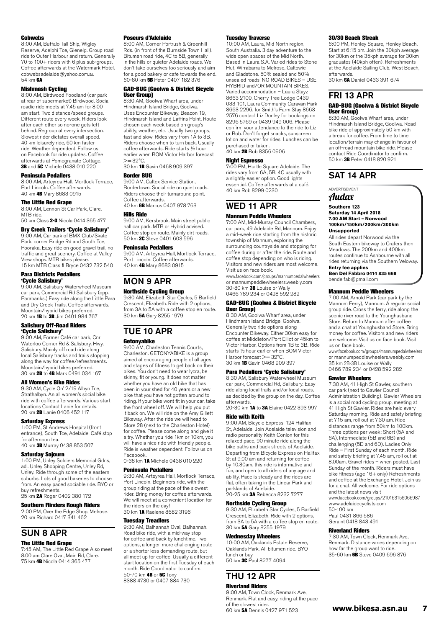#### **Cobwebs**

8:00 AM, Buffalo Tall Ship, Wigley Reserve, Adelphi Tce, Glenelg. Group road ride to Outer Harbour and return. Generally 70 to 100+ riders with 6 plus sub-groups. Coffee afterwards at the Watermark Hotel. cobwebsadelaide@yahoo.com.au 54 km **6A** 

**Mishmash Cycling**<br>8:00 AM, Birdwood Foodland (car park at rear of supermarket) Birdwood. Social roadie ride meets at 7.45 am for 8.00 am start. Two distance/speed groups. Different route every week. Riders look after each other so no-one gets left behind. Regroup at every intersection. Slowest rider dictates overall speed. 40 km leisurely ride, 60 km faster ride. Weather dependent. Follow us on Facebook for ride updates. Coffee afterwards at Pomegranate Cottage.<br>**3B** and **5C** Michele 0438 010 220

#### Peninsula Pedallers

8:00 AM, Arteyrea Hall, Mortlock Terrace, Port Lincoln. Coffee afterwards. 40 km 4B Mary 8683 0915

#### The Little Red Grape

8:00 AM, Lennon St Car Park, Clare. MTR ride 50 km Class 2-3 Nicola 0414 365 477

Dry Creek Trailers 'Cycle Salisbury' 9:00 AM, Car park of BMX Club/Skate Park, corner Bridge Rd and South Tce, Pooraka. Easy ride on good gravel trail, no traffic and great scenery. Coffee at Valley View shops. MTB bikes please. 15 km MTB Class 1 Bryce 0432 732 540

#### Para Districts Pedallers 'Cycle Salisbury'

9:00 AM, Salisbury Waterwheel Museum car park, Commercial Rd Salisbury (opp. Parabanks.) Easy ride along the Little Para and Dry Creek Trails. Coffee afterwards. Mountain/hybrid bikes preferred.<br>20 km **1B** to **3B** Jim 0401 984 767

### Salisbury Off-Road Riders

**'Cycle Salisbury'**<br>9:00 AM, Former Café car park, Cnr Waterloo Corner Rd & Salisbury. Hwy, Salisbury. Mainly off road ride along local Salisbury tracks and trails stopping along the way for coffee/refreshments. Mountain/hybrid bikes preferred. 30 km 2B to 4B Mark 0491 034 167

#### All Women's Bike Rides

9:30 AM, Cycle On' 2/19 Albyn Tce, Strathalbyn. An all women's social bike ride with coffee afterwards. Various start locations Contact Lanie for details. 20 km 2B Lanie 0406 452 117

#### Saturday Express

1:00 PM, St Andrews Hospital (front entrance), South Tce, Adelaide. Café stop for afternoon tea. 40 km 3B Murray 0438 853 507

#### Saturday Sojourn

1:00 PM, Unley Soldiers Memorial Gdns, adj. Unley Shopping Centre, Unley Rd, Unley. Ride through some of the eastern suburbs. Lots of good bakeries to choose from. An easy paced sociable ride. BYO or

buy refreshments. 25 km 2A Roger 0402 380 172

#### Southern Flinders Rough Riders

2:00 PM, Over the Edge Shop, Melrose. 20 km Richard 0417 341 462

## SUN 8 APR

### **The Little Red Grane**

7:45 AM, The Little Red Grape Also meet 8.00 am Clare Oval, Main Rd, Clare. 75 km 4B Nicola 0414 365 477

#### Poseurs d'Adelaide

8:00 AM, Corner Portrush & Greenhill Rds. (in front of the Burnside Town Hall). Bitumen road ride, 4C to 5B, generally in the hills or quieter Adelaide roads. We don't take ourselves too seriously and aim for a good bakery or cafe towards the end. 60-80 km 5B Peter 0407 182 376

#### GAD-BUG (Goolwa & District Bicycle User Group)

8:30 AM, Goolwa Wharf area, under Hindmarsh Island Bridge, Goolwa. Uses Encounter Bikeway, Beacon 19, Hindmarsh Island and Laffins Point. Route chosen each week based on group's ability, weather, etc. Usually two groups fast and slow. Rides vary from 1A to 3B. Riders choose when to turn back. Usually coffee afterwards. Ride starts ½ hour earlier when BOM Victor Harbor forecast  $>= 32^{\circ}C$ . 30 km 1B Gavin 0468 909 397

#### Border BUG

9:00 AM, Caltex Service Station, Bordertown. Social ride on quiet roads. Riders choose their turnaround point. Coffee afterwards. 40 km 6B Marcus 0407 978 763

#### Hills Ride

9:00 AM, Kersbrook. Main street public hall car park. MTB or Hybrid advised. Coffee stop en route. Mainly dirt roads. 50 km 2C Steve 0401 603 596

#### Peninsula Pedallers

9:00 AM, Arteyrea Hall, Mortlock Terrace, Port Lincoln. Coffee afterwards. 40 km 4B Mary 8683 0915

### MON 9 APR

#### Northside Cycling Group

9:30 AM, Elizabeth Star Cycles, 5 Barfield Crescent, Elizabeth. Ride with 2 options, from 3A to 5A with a coffee stop en route. 30 km 5A Gary 8255 1979

## TUE 10 APR

#### Getonyabike

9:00 AM, Charleston Tennis Courts, Charleston. GETONYABIKE is a group aimed at encouraging people of all ages and stages of fitness to get back on their bikes. You don't need to wear lycra, be skinny, fit or young. It does not matter whether you have an old bike that has been in your shed for 40 years or a new bike that you have not gotten around to riding. If your bike wont fit in your car, take the front wheel off. We will help you put it back on. We will ride on the Amy Gillett Bikeway. After the ride we will head to Store 28 (next to the Charleston Hotel) for coffee. Please come along and give it a try. Whether you ride 1km or 10km, you will have a nice ride with friendly people. Ride is weather dependent. Follow us on Facebook.

0-38 km 1A Michele 0438 010 220

#### Peninsula Pedallers

9:30 AM, Arteyrea Hall, Mortlock Terrace, Port Lincoln. Beginners ride, with the group riding at the pace of the slowest rider. Bring money for coffee afterwards. We will meet at a convenient location for the riders on the day!

30 km 1A Raelene 8682 3196

#### Tuesday Treadlers

9:30 AM, Balhannah Oval, Balhannah. Road bike ride, with a mid-way stop for coffee and back by lunchtime. Two options, a longer, more challenging route or a shorter less demanding route, but all meet up for coffee. Usually a different start location on the first Tuesday of each month. Ride Coordinator to confirm. 50-70 km 4B or 5C Tony 8388 4730 or 0407 884 730

#### Tuesday Traverse

10:00 AM, Laura, Mid North region, South Australia. 3 day adventure to the wide open spaces of the Mid North. Based in Laura S.A. Varied rides to Stone Hut, Wirrabarra to Melrose, Caltowie and Gladstone. 50% sealed and 50% unsealed roads. NO ROAD BIKES – USE HYBRID and/OR MOUNTAIN BIKES. Varied accommodation – Laura Stayz 8663 2100, Cherry Tree Lodge 0439 033 101, Laura Community Caravan Park 8663 2296, for Smith's Farm Stay 8663 2576 contact Liz Donley for bookings on 8296 5769 or 0439 949 006. Please confirm your attendance to the ride to Liz or Bob. Don't forget snacks, sunscreen lotion and water for rides. Lunches can be purchased or taken.<br>40 km **2B** Bob 8356 0906

#### Night Espresso

7:00 PM, Hurtle Square Adelaide. The rides vary from 6A, 5B, 4C usually with a slightly easier option. Good lights essential. Coffee afterwards at a café. 40 km Rob 8299 0230

#### WED 11 APR Mannum Peddle Wheelers

#### 7:00 AM, Mid-Murray Council Chambers, car park, 49 Adelaide Rd, Mannum. Enjoy a mid-week ride starting from the historic township of Mannum, exploring the surrounding countryside and stopping for coffee during or after the ride. Route and coffee stop depending on who is riding. Visitors and new riders are most welcome. Visit us on face book.

www.facebook.com/groups/mannumpedalwheelers or mannumpeddlewheelers.weebly.com 30-80 km 3B Louise or Wally 0466 789 234 or 0428 592 282

#### GAD-BUG (Goolwa & District Bicycle User Group)

8:30 AM, Goolwa Wharf area, under Hindmarsh Island Bridge, Goolwa. Generally two ride options along Encounter Bikeway. Either 30km easy for coffee at Middleton/Port Elliot or 45km to Victor Harbor. Options from 1B to 3B. Ride starts ½ hour earlier when BOM Victor Harbor forecast >= 32°C. 30 km 1B Gavin 0468 909 397

#### Para Pedallers 'Cycle Salisbury'

8:30 AM, Salisbury Waterwheel Museum car park, Commercial Rd, Salisbury. Easy ride along local trails and/or local roads, as decided by the group on the day. Coffee afterwards.

20-30 km 1A to 3A Elaine 0422 393 997 Ride with Keith

9:00 AM, Bicycle Express, 124 Halifax St, Adelaide. Join Adelaide television and radio personality Keith Conlon for this relaxed pace, 90 minute ride along the bike paths and back streets of Adelaide. Departing from Bicycle Express on Halifax St at 9.00 am and returning for coffee by 10.30am, this ride is informative and fun, and open to all riders of any age and ability. Pace is steady and the rides are flat, often taking in the Linear Park and parklands of Adelaide. 20-25 km 3A Rebecca 8232 7277

#### Northside Cycling Group

9:30 AM, Elizabeth Star Cycles, 5 Barfield Crescent, Elizabeth. Ride with 2 options, from 3A to 5A with a coffee stop en route. 30 km 5A Gary 8255 1979

#### Wednesday Wheelers

10:00 AM, Oaklands Estate Reserve, Oaklands Park. All bitumen ride. BYO lunch or buy 50 km 3C Paul 8277 4094

## THU 12 APR

Riverland Riders 9:00 AM, Town Clock, Renmark Ave, Renmark. Flat and easy, riding at the pace of the slowest rider. 60 km 5A Dennis 0427 971 523

#### 30/30 Beach Streak

6:00 PM, Henley Square, Henley Beach. Start at 6:15 pm. Join the 30kph average for 30km or the 35kph average for 30km graduates (40kph often). Refreshments at the Adelaide Sailing Club, West Beach, afterwards.

30 km 6A Daniel 0433 391 674

### FRI 13 APR

#### GAD-BUG (Goolwa & District Bicycle User Group)

8:30 AM, Goolwa Wharf area, under Hindmarsh Island Bridge, Goolwa. Road bike ride of approximately 50 km with a break for coffee. From time to time location/terrain may change in favour of an off-road mountain bike ride. Please contact Ride Coordinator to confirm. 50 km 3B Peter 0418 820 921

### SAT 14 APR

ADVERTISEMENT

#### Audax **Southern 123**

**Saturday 14 April 2018 7.00 AM Start – Norwood 100km/150km/200km/300km Unsupported**

All rides depart Norwood via the South Eastern bikeway to Crafers then Meadows. The 200km and 400km routes continue to Ashbourne with all rides returning via the Southern Veloway.

**Entry fee applies Ben Del Fabbro 0414 835 668**

bendelfab@gmail.com

#### Mannum Peddle Wheelers

7:00 AM, Arnold Park (car park by the Mannum Ferry), Mannum. A regular social group ride. Cross the ferry, ride along the scenic river road to the Younghusband Store. Return to Mannum after coffee and a chat at Younghusband Store. Bring money for coffee. Visitors and new riders are welcome. Visit us on face book. Visit us on face book.

www.facebook.com/groups/mannumpedalwheelers or mannumpeddlewheelers.weebly.com 35 km 2B-3B Louise or Wally 0466 789 234 or 0428 592 282

#### Gawler Wheelers

7:30 AM, 41 High St Gawler, southern car park (next to Gawler Council Administration Building). Gawler Wheelers is a social road cycling group, meeting at 41 High St Gawler. Rides are held every Saturday morning. Ride and safety briefing at 7.15 am, roll out at 7.30 am. Ride distances range from 50km to 100km. Three options per week: Short (5A and 6A), Intermediate (5B and 6B) and challenging (5D and 6D). Ladies Only Ride – First Sunday of each month. Ride and safety briefing at 7.45 am, roll out at 8.00am. Gravel rides – when posted. Last Sunday of the month. Riders must have bike fitness (age 16+ only) Refreshments and coffee at the Exchange Hotel. Join us for a chat. All welcome. For ride options and the latest news visit www.facebook.com/groups/210163156066987 www.adelaidecyc[lists.com](http://www.adelaidecyclists.com)  50-100 km Paul 0431 866 586

Geraint 0418 843 491

#### Riverland Riders

7:30 AM, Town Clock, Renmark Ave, Renmark. Distance varies depending on how far the group want to ride. 35-60 km 6B Steve 0409 696 876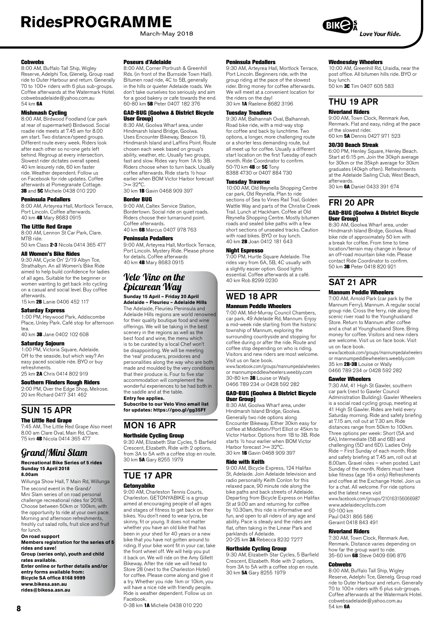March-May 2018

#### **Cobwebs**

8:00 AM, Buffalo Tall Ship, Wigley Reserve, Adelphi Tce, Glenelg. Group road ride to Outer Harbour and return. Generally 70 to 100+ riders with 6 plus sub-groups. Coffee afterwards at the Watermark Hotel. cobwebsadelaide@yahoo.com.au 54 km 6A

**Mishmash Cycling**<br>8:00 AM, Birdwood Foodland (car park at rear of supermarket) Birdwood. Social roadie ride meets at 7.45 am for 8.00 am start. Two distance/speed groups. Different route every week. Riders look after each other so no-one gets left behind. Regroup at every intersection. Slowest rider dictates overall speed. 40 km leisurely ride, 60 km faster ride. Weather dependent. Follow us on Facebook for ride updates. Coffee afterwards at Pomegranate Cottage.<br>**3B** and **5C** Michele 0438 010 220

#### Peninsula Pedallers

8:00 AM, Arteyrea Hall, Mortlock Terrace, Port Lincoln. Coffee afterwards. 40 km 4B Mary 8683 0915

#### The Little Red Grape

8:00 AM, Lennon St Car Park, Clare. MTB ride. 50 km Class 2-3 Nicola 0414 365 477

### All Women's Bike Rides

9:30 AM, Cycle On' 2/19 Albyn Tce, Strathalbyn. An all Women's Bike Ride aimed to help build confidence for ladies of all ages. Suitable for the beginner or women wanting to get back into cycling on a casual and social level. Buy coffee

#### afterwards. 15 km 2B Lanie 0406 452 117

Saturday Express

1:00 PM, Heywood Park, Addiscombe

Place, Unley Park. Café stop for afternoon tea.

40 km 3B Jane 0402 102 608

#### Saturday Sojourn

1:00 PM, Victoria Square, Adelaide. Off to the seaside, but which way? An easy paced sociable ride. BYO or buy refreshments.

25 km 2A Chris 0414 802 919

### Southern Flinders Rough Riders

2:00 PM, Over the Edge Shop, Melrose. 20 km Richard 0417 341 462

### SUN 15 APR

#### The Little Red Grape

7:45 AM, The Little Red Grape Also meet 8.00 am Clare Oval, Main Rd, Clare. 75 km 4B Nicola 0414 365 477

### Grand/Mini Slam

#### **Recreational Bike Series of 5 rides Sunday 15 April 2018 8.00am**

Willunga Show Hall, 7 Main Rd, Willunga The second event in the Grand/ Mini Slam series of on road personal challenge recreational rides for 2018. Choose between 50km or 100km, with the opportunity to ride at your own pace. Morning and afternoon refreshments, freshly cut salad rolls, fruit slice and fruit for lunch.

**On road support Members registration for the series of 5 rides and save! Group (series only), youth and child rates available. Enter online or further details and/or entry forms available from: Bicycle SA office 8168 9999 [www.bikesa.asn.au](http://www.bikesa.asn.au) [rides@bikesa.asn.au](mailto:rides@bikesa.asn.au)**

**8**

#### Poseurs d'Adelaide

8:00 AM, Corner Portrush & Greenhill Rds. (in front of the Burnside Town Hall). Bitumen road ride, 4C to 5B, generally in the hills or quieter Adelaide roads. We don't take ourselves too seriously and aim for a good bakery or cafe towards the end. 60-80 km 5B Peter 0407 182 376

#### GAD-BUG (Goolwa & District Bicycle User Group)

8:30 AM, Goolwa Wharf area, under Hindmarsh Island Bridge, Goolwa. Uses Encounter Bikeway, Beacon 19, Hindmarsh Island and Laffins Point. Route chosen each week based on group's ability, weather, etc. Usually two groups, fast and slow. Rides vary from 1A to 3B. Riders choose when to turn back. Usually coffee afterwards. Ride starts ½ hour earlier when BOM Victor Harbor forecast  $>= 32^{\circ}C$ .

30 km 1B Gavin 0468 909 397

#### Border BUG

9:00 AM, Caltex Service Station, Bordertown. Social ride on quiet roads. Riders choose their turnaround point. Coffee afterwards. 40 km 6B Marcus 0407 978 763

#### Peninsula Pedallers

9:00 AM, Arteyrea Hall, Mortlock Terrace, Port Lincoln. Mystery Ride. Please phone for details. Coffee afterwards 40 km 4B Mary 8683 0915

### Velo Vino on the Epicurean Way

#### **Sunday 15 April – Friday 20 April**

**Adelaide – Fleurieu – Adelaide Hills** The Adelaide, Fleurieu Peninsula and Adelaide Hills regions are world renowned for their quality boutique food and wine offerings. We will be taking in the best scenery in the regions as well as the best food and wine, the menu which is to be curated by a local Chef won't be disappointing. We will be meeting the 'real' producers, providores and personalities along the way who are both made and moulded by the very conditions that their produce is. Four to five star accommodation will complement the wonderful experiences to be had both in the saddle and at the table. **Entry fee applies.** 

**Subscribe to our Velo Vino email list for updates: <https://goo.gl/gg35Ff>**

### MON 16 APR Northside Cycling Group

9:30 AM, Elizabeth Star Cycles, 5 Barfield Crescent, Elizabeth. Ride with 2 options,

#### from 3A to 5A with a coffee stop en route. 30 km 5A Gary 8255 1979

### TUE 17 APR

#### Getonyabike

9:00 AM, Charleston Tennis Courts, Charleston. GETONYABIKE is a group aimed at encouraging people of all ages and stages of fitness to get back on their bikes. You don't need to wear lycra, be skinny, fit or young. It does not matter whether you have an old bike that has been in your shed for 40 years or a new bike that you have not gotten around to riding. If your bike wont fit in your car, take the front wheel off. We will help you put it back on. We will ride on the Amy Gillett Bikeway. After the ride we will head to Store 28 (next to the Charleston Hotel) for coffee. Please come along and give it a try. Whether you ride 1km or 10km, you will have a nice ride with friendly people. Ride is weather dependent. Follow us on Facebook.

0-38 km 1A Michele 0438 010 220

#### Peninsula Pedallers

9:30 AM, Arteyrea Hall, Mortlock Terrace, Port Lincoln. Beginners ride, with the group riding at the pace of the slowest group manng at the pace of the ciencet We will meet at a convenient location for the riders on the day!<br>30 km **1A** Raelene 8682 3196

#### Tuesday Treadlers

9:30 AM, Balhannah Oval, Balhannah. Road bike ride, with a mid-way stop for coffee and back by lunchtime. Two options, a longer, more challenging route or a shorter less demanding route, but all meet up for coffee. Usually a different start location on the first Tuesday of each month. Ride Coordinator to confirm. 50-70 km **4B** or 5C Tony 8388 4730 or 0407 884 730

#### Tuesday Traverse

10:00 AM, Old Reynella Shopping Centre car park, Old Reynella. Plan to ride sections of Sea to Vines Rail Trail, Golden Wattle Way and parts of the Christie Creek Trail. Lunch at Hackham. Coffee at Old Reynella Shopping Centre. Mostly bitumen roads and sealed bike paths with a few short sections of unsealed tracks. Caution with road bikes. BYO or buy lunch. 40 km 2B Joan 0412 181 643

#### Night Espresso

7:00 PM, Hurtle Square Adelaide. The rides vary from 6A, 5B, 4C usually with a slightly easier option. Good lights essential. Coffee afterwards at a café. 40 km Rob 8299 0230

### WED 18 APR

#### Mannum Peddle Wheelers

7:00 AM, Mid-Murray Council Chambers, car park, 49 Adelaide Rd, Mannum. Enjoy a mid-week ride starting from the historic township of Mannum, exploring the surrounding countryside and stopping for coffee during or after the ride. Route and coffee stop depending on who is riding. Visitors and new riders are most welcome. Visit us on face book.

www.facebook.com/groups/mannumpedalwheelers or mannumpeddlewheelers.weebly.com 30-80 km 3B Louise or Wally 0466 789 234 or 0428 592 282

#### GAD-BUG (Goolwa & District Bicycle User Group)

8:30 AM, Goolwa Wharf area, under Hindmarsh Island Bridge, Goolwa. Generally two ride options along Encounter Bikeway. Either 30km easy for coffee at Middleton/Port Elliot or 45km to Victor Harbor. Options from 1B to 3B. Ride starts ½ hour earlier when BOM Victor Harbor forecast >= 39°C. 30 km 1B Gavin 0468 909 397

#### Ride with Keith

9:00 AM, Bicycle Express, 124 Halifax St, Adelaide. Join Adelaide television and radio personality Keith Conlon for this relaxed pace, 90 minute ride along the bike paths and back streets of Adelaide. Departing from Bicycle Express on Halifax St at 9.00 am and returning for coffee by 10.30am, this ride is informative and fun, and open to all riders of any age and ability. Pace is steady and the rides are flat, often taking in the Linear Park and parklands of Adelaide.

20-25 km 3A Rebecca 8232 7277

#### Northside Cycling Group

9:30 AM, Elizabeth Star Cycles, 5 Barfield Crescent, Elizabeth. Ride with 2 options, from 3A to 5A with a coffee stop en route. 30 km 5A Gary 8255 1979

Wednesday Wheelers<br>10:00 AM, Greenhill Rd, Uraidla, near the post office. All bitumen hills ride. BYO or buy lunch.

50 km 3C Tim 0407 605 583

### THU 19 APR

### Riverland Riders

9:00 AM, Town Clock, Renmark Ave, Renmark. Flat and easy, riding at the pace of the slowest rider. 60 km 5A Dennis 0427 971 523

#### 30/30 Beach Streak

6:00 PM, Henley Square, Henley Beach. Start at 6:15 pm. Join the 30kph average for 30km or the 35kph average for 30km graduates (40kph often). Refreshments at the Adelaide Sailing Club, West Beach, afterwards.

30 km 6A Daniel 0433 391 674

### FRI 20 APR

#### GAD-BUG (Goolwa & District Bicycle User Group)

8:30 AM, Goolwa Wharf area, under Hindmarsh Island Bridge, Goolwa. Road bike ride of approximately 50 km with a break for coffee. From time to time location/terrain may change in favour of an off-road mountain bike ride. Please contact Ride Coordinator to confirm. 50 km 3B Peter 0418 820 921

## SAT 21 APR

#### Mannum Peddle Wheelers

7:00 AM, Arnold Park (car park by the Mannum Ferry), Mannum. A regular social group ride. Cross the ferry, ride along the scenic river road to the Younghusband Store. Return to Mannum after coffee and a chat at Younghusband Store. Bring money for coffee. Visitors and new riders are welcome. Visit us on face book. Visit us on face book.

www.facebook.com/groups/mannumpedalwheelers or mannumpeddlewheelers.weebly.com 35 km 2B-3B Louise or Wally 0466 789 234 or 0428 592 282

#### Gawler Wheelers

7:30 AM, 41 High St Gawler, southern car park (next to Gawler Council Administration Building). Gawler Wheelers is a social road cycling group, meeting at 41 High St Gawler. Rides are held every Saturday morning. Ride and safety briefing at 7.15 am, roll out at 7.30 am. Ride distances range from 50km to 100km. Three options per week: Short (5A and 6A), Intermediate (5B and 6B) and challenging (5D and 6D). Ladies Only Ride – First Sunday of each month. Ride and safety briefing at 7.45 am, roll out at 8.00am. Gravel rides – when posted. Last Sunday of the month. Riders must have bike fitness (age 16+ only) Refreshments and coffee at the Exchange Hotel. Join us for a chat. All welcome. For ride options and the latest news visit www.facebook.com/groups/210163156066987

www.adelaidecyc[lists.com](http://www.adelaidecyclists.com)  50-100 km

Paul 0431 866 586 Geraint 0418 843 491

#### Riverland Riders

7:30 AM, Town Clock, Renmark Ave, Renmark. Distance varies depending on how far the group want to ride. 35-60 km 6B Steve 0409 696 876

#### Cobwebs

8:00 AM, Buffalo Tall Ship, Wigley Reserve, Adelphi Tce, Glenelg. Group road ride to Outer Harbour and return. Generally 70 to 100+ riders with 6 plus sub-groups. Coffee afterwards at the Watermark Hotel. cobwebsadelaide@yahoo.com.au 54 km 6A

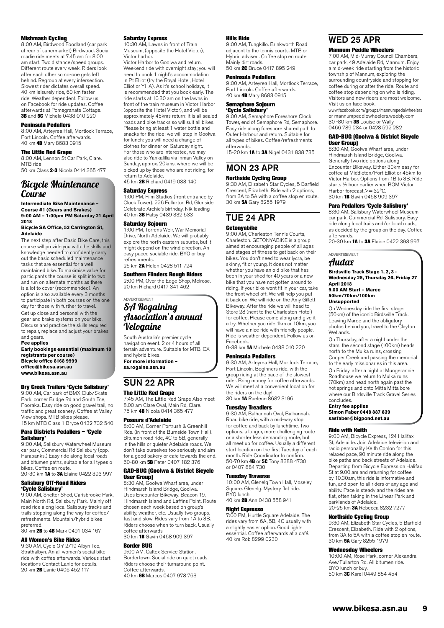#### Mishmash Cycling

8:00 AM, Birdwood Foodland (car park at rear of supermarket) Birdwood. Social roadie ride meets at 7.45 am for 8.00 am start. Two distance/speed groups. Different route every week. Riders look after each other so no-one gets left behind. Regroup at every intersection. Slowest rider dictates overall speed. 40 km leisurely ride, 60 km faster ride. Weather dependent. Follow us on Facebook for ride updates. Coffee afterwards at Pomegranate Cottage. 3B and 5C Michele 0438 010 220

#### Peninsula Pedallers

8:00 AM, Arteyrea Hall, Mortlock Terrace, Port Lincoln. Coffee afterwards.<br>40 km **4B** Mary 8683 0915

#### The Little Red Grape

8:00 AM, Lennon St Car Park, Clare. MTB ride 50 km Class 2-3 Nicola 0414 365 477

### Bicycle Maintenance Course

**Intermediate Bike Maintenance – Course #1 (Gears and Brakes) 9:00 AM – 1:00pm PM Saturday 21 April 2018**

#### **Bicycle SA Office, 53 Carrington St, Adelaide**

The next step after Basic Bike Care, this course will provide you with the skills and knowledge needed to confidently carry out the basic scheduled maintenance tasks that are essential for a well maintained bike. To maximise value for participants the course is split into two and run on alternate months as there is a lot to cover (recommended). An option is also available every 3 months to participate in both courses on the one day for those with further to travel. Get up close and personal with the gear and brake systems on your bike. Discuss and practice the skills required to repair, replace and adjust your brakes and gears.

#### **Fee applies Early bookings essential (maximum 10 registrants per course) Bicycle office 8168 9999 office@bikesa.asn.au www.bikesa.asn.au**

#### Dry Creek Trailers 'Cycle Salisbury'

9:00 AM, Car park of BMX Club/Skate Park, corner Bridge Rd and South Tce, Pooraka. Easy ride on good gravel trail, no traffic and great scenery. Coffee at Valley View shops. MTB bikes please. 15 km MTB Class 1 Bryce 0432 732 540

Para Districts Pedallers – 'Cycle

#### Salisbury' 9:00 AM, Salisbury Waterwheel Museum

car park, Commercial Rd Salisbury (opp. Parabanks.) Easy ride along local roads and bitumen paths, suitable for all types o bikes. Coffee en route.

20-30 km 1A to 3A Elaine 0422 393 997

#### Salisbury Off-Road Riders 'Cycle Salisbury'

9:00 AM, Shelter Shed, Carisbrooke Park, Main North Rd, Salisbury Park. Mainly off road ride along local Salisbury tracks and trails stopping along the way for coffee/ refreshments. Mountain/hybrid bikes preferred.

30 km 2B to 4B Mark 0491 034 167

#### All Women's Bike Rides

9:30 AM, Cycle On' 2/19 Albyn Tce, Strathalbyn. An all women's social bike ride with coffee afterwards. Various start locations Contact Lanie for details. 20 km 2B Lanie 0406 452 117

#### Saturday Express

10:30 AM, Lawns in front of Train Museum, (opposite the Hotel Victor), Victor harbor. Victor Harbor to Goolwa and return.

Weekend ride with overnight stay; you will need to book 1 night's accommodation in Pt Elliot (try the Royal Hotel, Hotel Elliot or YHA). As it's school holidays, it is recommended that you book early. The ride starts at 10.30 am on the lawns in front of the train museum in Victor Harbor (opposite the Hotel Victor), and will be approximately 45kms return; it is all sealed roads and bike tracks so will suit all bikes. Please bring at least 1 water bottle and snacks for the ride; we will stop in Goolwa for lunch: you will need a change of clothes for dinner on Saturday night. For those who are interested, we may also ride to Yankalilla via Inman Valley on Sunday, approx. 20kms, where we will be picked up by those who are not riding, for return to Adelaide. 45 km 2B Richard 0419 033 140

### Saturday Express

1:00 PM, Film Studios (front entrance by Clock Tower), 226 Fullarton Rd, Glenside. Celebrate Archie's birthday. Nik leading 40 km 3B Patsy 0439 332 533

#### Saturday Sojourn

1:00 PM, Torrens Weir, War Memorial Drive, North Adelaide. We will probably explore the north eastern suburbs, but it might depend on the wind direction. An easy paced sociable ride. BYO or buy refreshments. 25 km **2A** Helen 0428 511 724

#### Southern Flinders Rough Riders 2:00 PM, Over the Edge Shop, Melrose. 20 km Richard 0417 341 462

### ADVERTISEMENT SA Rogaining Association's annual Velogaine

South Australia's premier cycle navigation event. 2 or 4 hours of all terrain adventure. Suitable for MTB, CX and hybrid bikes. **For more information –** 

**[sa.rogaine.asn.au](http://sa.rogaine.asn.au)**

## SUN 22 APR

#### The Little Red Grape

7:45 AM, The Little Red Grape Also meet 8.00 am Clare Oval, Main Rd, Clare. 75 km 4B Nicola 0414 365 477

#### Poseurs d'Adelaide

8:00 AM, Corner Portrush & Greenhill Rds. (in front of the Burnside Town Hall). Bitumen road ride, 4C to 5B, generally in the hills or quieter Adelaide roads. We don't take ourselves too seriously and aim for a good bakery or cafe towards the end. 60-80 km 5B Peter 0407 182 376

#### GAD-BUG (Goolwa & District Bicycle User Group)

8:30 AM, Goolwa Wharf area, under Hindmarsh Island Bridge, Goolwa. Uses Encounter Bikeway, Beacon 19, Hindmarsh Island and Laffins Point. Route chosen each week based on group's ability, weather, etc. Usually two groups fast and slow. Rides vary from 1A to 3B. Riders choose when to turn back. Usually coffee afterwards 30 km 1B Gavin 0468 909 397

#### Border BUG

9:00 AM, Caltex Service Station, Bordertown. Social ride on quiet roads. Riders choose their turnaround point. Coffee afterwards. 40 km 6B Marcus 0407 978 763

#### Hills Ride

9:00 AM, Tungkillo. Brinkworth Road adjacent to the tennis courts. MTB or Hybrid advised. Coffee stop en route. Mainly dirt roads.

50 km 2C Bruce 0417 895 249

#### Peninsula Pedallers

9:00 AM, Arteyrea Hall, Mortlock Terrace, Port Lincoln. Coffee afterwards. 40 km 4B Mary 8683 0915

### Semaphore Sojourn

'Cycle Salisbury' 9:00 AM, Semaphore Foreshore Clock Tower, end of Semaphore Rd, Semaphore. Easy ride along foreshore shared path to Outer Harbour and return. Suitable for all types of bikes. Coffee/refreshments afterwards.

15-20 km 1A to 3A Nigel 0431 838 735

#### MON 23 APR Northside Cycling Group

9:30 AM, Elizabeth Star Cycles, 5 Barfield Crescent, Elizabeth. Ride with 2 options, from 3A to 5A with a coffee stop en route. 30 km 5A Gary 8255 1979

### TUE 24 APR

#### **Getonyabike**

9:00 AM, Charleston Tennis Courts, Charleston. GETONYABIKE is a group aimed at encouraging people of all ages and stages of fitness to get back on their bikes. You don't need to wear lycra, be skinny, fit or young. It does not matter whether you have an old bike that has been in your shed for 40 years or a new bike that you have not gotten around to riding. If your bike wont fit in your car, take the front wheel off. We will help you put it back on. We will ride on the Amy Gillett Bikeway. After the ride we will head to Store 28 (next to the Charleston Hotel) for coffee. Please come along and give it a try. Whether you ride 1km or 10km, you will have a nice ride with friendly people. Ride is weather dependent. Follow us on Facebook.

0-38 km 1A Michele 0438 010 220

#### Peninsula Pedallers

9:30 AM, Arteyrea Hall, Mortlock Terrace, Port Lincoln. Beginners ride, with the group riding at the pace of the slowest rider. Bring money for coffee afterwards. We will meet at a convenient location for the riders on the day! 30 km 1A Raelene 8682 3196

#### Tuesday Treadlers

9:30 AM, Balhannah Oval, Balhannah. Road bike ride, with a mid-way stop for coffee and back by lunchtime. Two options, a longer, more challenging route or a shorter less demanding route, but all meet up for coffee. Usually a different start location on the first Tuesday of each month. Ride Coordinator to confirm. 50-70 km 4B or 5C Tony 8388 4730 or 0407 884 730

#### Tuesday Traverse

10:00 AM, Glenelg Town Hall, Moseley Square. Glenelg. Mystery flat ride. BYO lunch. 40 km 2B Ann 0438 558 941

### Night Espresso

7:00 PM, Hurtle Square Adelaide. The rides vary from 6A, 5B, 4C usually with a slightly easier option. Good lights essential. Coffee afterwards at a café. 40 km Rob 8299 0230

### WED 25 APR Mannum Peddle Wheelers

7:00 AM, Mid-Murray Council Chambers, car park, 49 Adelaide Rd, Mannum. Enjoy a mid-week ride starting from the historic township of Mannum, exploring the surrounding countryside and stopping for coffee during or after the ride. Route and coffee stop depending on who is riding. Visitors and new riders are most welcome. Visit us on face book.

www.facebook.com/groups/mannumpedalwheelers or mannumpeddlewheelers.weebly.com<br>30 -80 km 3B Louise or Wally 0466 789 234 or 0428 592 282

#### GAD-BUG (Goolwa & District Bicycle User Group)

8:30 AM, Goolwa Wharf area, under Hindmarsh Island Bridge, Goolwa. Generally two ride options along Encounter Bikeway. Either 30km easy for coffee at Middleton/Port Elliot or 45km to Victor Harbor. Options from 1B to 3B. Ride starts ½ hour earlier when BOM Victor Harbor forecast >= 32°C. 30 km 1B Gavin 0468 909 397

#### Para Pedallers 'Cycle Salisbury'

8:30 AM, Salisbury Waterwheel Museum car park, Commercial Rd, Salisbury. Easy ride along local trails and/or local roads, as decided by the group on the day. Coffee afterwards.<br>20–30 km **1A** to **3A** Elaine 0422 393 997

#### ADVERTISEMENT

#### Audax **Birdsville Track Stage 1, 2, 3 -**

**Wednesday 25, Thursday 26, Friday 27 April 2018 9.00 AM Start – Maree**

#### **50km/70km/100km Unsupported**

On Wednesday ride the first stage (50km) of the iconic Birdsville Track. Leaving Maree and the obligatory photos behind you, travel to the Clayton Wetlands.

On Thursday, after a night under the stars, the second stage (100km) heads north to the Mulka ruins, crossing Cooper Creek and passing the memorial to the early missionaries in this area. On Friday, after a night at Mungerannie Roadhouse we return to Mulka ruins (70km) and head north again past the hot springs and onto Mitta Mitta bore where our Birdsville Track Gravel Series concludes.

#### **Entry fee applies Simon Faber 0448 887 839 sasfaber@bigpond.net.au**

#### Ride with Keith

9:00 AM, Bicycle Express, 124 Halifax St, Adelaide. Join Adelaide television and radio personality Keith Conlon for this relaxed pace, 90 minute ride along the bike paths and back streets of Adelaide. Departing from Bicycle Express on Halifax St at 9.00 am and returning for coffee by 10.30am, this ride is informative and fun, and open to all riders of any age and ability. Pace is steady and the rides are flat, often taking in the Linear Park and parklands of Adelaide. 20-25 km 3A Rebecca 8232 7277

#### Northside Cycling Group

9:30 AM, Elizabeth Star Cycles, 5 Barfield Crescent, Elizabeth. Ride with 2 options, from 3A to 5A with a coffee stop en route. 30 km 5A Gary 8255 1979

#### Wednesday Wheelers

10:00 AM, Rose Park, corner Alexandra Ave/Fullarton Rd. All bitumen ride. BYO lunch or buy. 50 km 3C Karel 0449 854 454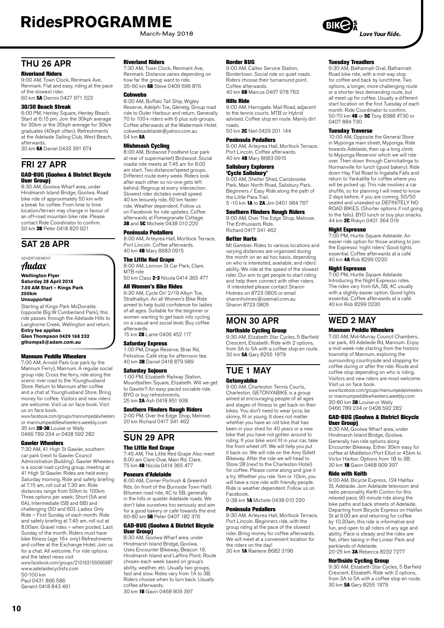March-May 2018

## THII 26 APR

#### Riverland Riders

9:00 AM, Town Clock, Renmark Ave. Renmark. Flat and easy, riding at the pace of the slowest rider. 60 km 5A Dennis 0427 971 523

#### 30/30 Beach Streak

6:00 PM, Henley Square, Henley Beach. Start at 6:15 pm. Join the 30kph average for 30km or the 35kph average for 30km graduates (40kph often). Refreshments at the Adelaide Sailing Club, West Beach, afterwards.

30 km 6A Daniel 0433 391 674

### FRI 27 APR

#### GAD-BUG (Goolwa & District Bicycle User Group)

8:30 AM, Goolwa Wharf area, under Hindmarsh Island Bridge, Goolwa. Road bike ride of approximately 50 km with a break for coffee. From time to time location/terrain may change in favour of an off-road mountain bike ride. Please contact Ride Coordinator to confirm. 50 km 3B Peter 0418 820 921

### SAT 28 APR

#### ADVERTISEMENT Audax

**Wellington Flyer Saturday 28 April 2018 7.00 AM Start – Kings Park 200km**

#### **Unsupported**

Starting at Kings Park McDonalds (opposite Big W Cumberland Park), this ride passes through the Adelaide Hills to Langhorne Creek, Wellington and return. **Entry fee applies**

**Glen Thompson 0429 168 232 gthomps5@adam.com.au**

#### Mannum Peddle Wheelers

7:00 AM, Arnold Park (car park by the Mannum Ferry), Mannum. A regular social group ride. Cross the ferry, ride along the scenic river road to the Younghusband Store. Return to Mannum after coffee and a chat at Younghusband Store. Bring money for coffee. Visitors and new riders are welcome. Visit us on face book. Visit us on face book.

www.facebook.com/groups/mannumpedalwheelers or mannumpeddlewheelers.weebly.com<br>35 km **2B-3B** Louise or Wally 0466 789 234 or 0428 592 282

#### Gawler Wheelers

7:30 AM, 41 High St Gawler, southern car park (next to Gawler Council Administration Building). Gawler Wheelers is a social road cycling group, meeting at 41 High St Gawler. Rides are held every Saturday morning. Ride and safety briefing at 7.15 am, roll out at 7.30 am. Ride distances range from 50km to 100km. Three options per week: Short (5A and 6A), Intermediate (5B and 6B) and challenging (5D and 6D). Ladies Only Ride – First Sunday of each month. Ride and safety briefing at 7.45 am, roll out at 8.00am. Gravel rides – when posted. Last Sunday of the month. Riders must have bike fitness (age 16+ only) Refreshments and coffee at the Exchange Hotel. Join us for a chat. All welcome. For ride options and the latest news visit

www.facebook.com/groups/210163156066987 www.adelaidecyc[lists.com](http://www.adelaidecyclists.com) 50-100 km

Paul 0431 866 586 Geraint 0418 843 491

#### Riverland Riders

7:30 AM, Town Clock, Renmark Ave, Renmark. Distance varies depending on how far the group want to ride.<br>35-60 km **6B** Steve 0409 696 876

#### **Cobwebs**

8:00 AM, Buffalo Tall Ship, Wigley Reserve, Adelphi Tce, Glenelg. Group road ride to Outer Harbour and return. Generally 70 to 100+ riders with 6 plus sub-groups. Coffee afterwards at the Watermark Hotel. cobwebsadelaide@yahoo.com.au 54 km 6A

**Mishmash Cycling**<br>8:00 AM, Birdwood Foodland (car park at rear of supermarket) Birdwood. Social roadie ride meets at 7.45 am for 8.00 am start. Two distance/speed groups. Different route every week. Riders look after each other so no-one gets left behind. Regroup at every intersection. Slowest rider dictates overall speed. 40 km leisurely ride, 60 km faster ride. Weather dependent. Follow us on Facebook for ride updates. Coffee afterwards at Pomegranate Cottage. **3B** and **5C** Michele 0438 010 220

#### Peninsula Pedallers

8:00 AM, Arteyrea Hall, Mortlock Terrace, Port Lincoln. Coffee afterwards. 40 km 4B Mary 8683 0915

#### The Little Red Grape

8:00 AM, Lennon St Car Park, Clare. MTB ride 50 km Class 2-3 Nicola 0414 365 477

#### All Women's Bike Rides

9:30 AM, Cycle On' 2/19 Albyn Tce, Strathalbyn. An all Women's Bike Ride aimed to help build confidence for ladies of all ages. Suitable for the beginner or women wanting to get back into cycling on a casual and social level. Buy coffee afterwards.

15 km 2B Lanie 0406 452 117

#### Saturday Express

1:00 PM, Drage Reserve, Briar Rd, Felixstow. Café stop for afternoon tea. 40 km 3B Daniel 0418 879 989

#### Saturday Sojourn

1:00 PM, Elizabeth Railway Station, Mountbatten Square, Elizabeth. Will we get to Gawler? An easy paced sociable ride. BYO or buy refreshments. 25 km 2A Ash 0418 851 938

#### Southern Flinders Rough Riders

2:00 PM, Over the Edge Shop, Melrose. 20 km Richard 0417 341 462

## SUN 29 APR

#### The Little Red Grape

7:45 AM, The Little Red Grape Also meet 8.00 am Clare Oval, Main Rd, Clare. 75 km 4B Nicola 0414 365 477

#### Poseurs d'Adelaide

8:00 AM, Corner Portrush & Greenhill Rds. (in front of the Burnside Town Hall). Bitumen road ride, 4C to 5B, generally in the hills or quieter Adelaide roads. We don't take ourselves too seriously and aim for a good bakery or cafe towards the end. 60-80 km 5B Peter 0407 182 376

#### GAD-BUG (Goolwa & District Bicycle User Group)

8:30 AM, Goolwa Wharf area, under Hindmarsh Island Bridge, Goolwa. Uses Encounter Bikeway, Beacon 19, Hindmarsh Island and Laffins Point. Route chosen each week based on group's ability, weather, etc. Usually two groups, fast and slow. Rides vary from 1A to 3B. Riders choose when to turn back. Usually coffee afterwards. 30 km 1B Gavin 0468 909 397

#### Border BUG

9:00 AM, Caltex Service Station, Bordertown. Social ride on quiet roads. Riders choose their turnaround point. Coffee afterwards. 40 km 6B Marcus 0407 978 763

#### Hills Ride

9:00 AM, Harrogate. Mail Road, adjacent to the tennis courts. MTB or Hybrid advised. Coffee stop en route. Mainly dirt roads. 50 km 2C Neil 0429 201 144

### Peninsula Pedallers

9:00 AM, Arteyrea Hall, Mortlock Terrace, Port Lincoln. Coffee afterwards. 40 km 4B Mary 8683 0915

### Salisbury Explorers

**'Cycle Salisbury'**<br>9:00 AM, Shelter Shed, Carisbrooke Park, Main North Road, Salisbury Park. Beginners / Easy Ride along the path of the Little Para Trail. 5 -10 km **1A** to **2A** Jim 0401 984 767

#### Southern Flinders Rough Riders

9:00 AM, Over The Edge Shop, Melrose. The Enthusiasts Ride. Richard 0417 341 462

#### Better Harts

Mt Gambier. Rides to various locations and varying distances are organised during the month on an ad hoc basis, depending on who is interested, available, and riders' ability. We ride at the speed of the slowest rider. Our aim to get people to start riding and help them connect with other riders. If interested please contact Sharon Holmes on 8723 0805 or email sharonholmes@ozemail.com.au Sharon 8723 0805

### MON 30 APR Northside Cycling Group

9:30 AM, Elizabeth Star Cycles, 5 Barfield Crescent, Elizabeth. Ride with 2 options, from 3A to 5A with a coffee stop en route. 30 km 5A Gary 8255 1979

# TUE 1 MAY

#### Getonyabike

9:00 AM, Charleston Tennis Courts, Charleston. GETONYABIKE is a group aimed at encouraging people of all ages and stages of fitness to get back on their bikes. You don't need to wear lycra, be skinny, fit or young. It does not matter whether you have an old bike that has been in your shed for 40 years or a new bike that you have not gotten around to riding. If your bike wont fit in your car, take the front wheel off. We will help you put it back on. We will ride on the Amy Gillett Bikeway. After the ride we will head to Store 28 (next to the Charleston Hotel) for coffee. Please come along and give it a try. Whether you ride 1km or 10km, you will have a nice ride with friendly people. Ride is weather dependent. Follow us on Facebook.

0-38 km 1A Michele 0438 010 220

#### Peninsula Pedallers

9:30 AM, Arteyrea Hall, Mortlock Terrace, Port Lincoln. Beginners ride, with the group riding at the pace of the slowest rider. Bring money for coffee afterwards. We will meet at a convenient location for the riders on the day!

30 km 1A Raelene 8682 3196

#### Tuesday Treadlers

9:30 AM, Balhannah Oval, Balhannah. Road bike ride, with a mid-way stop for coffee and back by lunchtime. Two options, a longer, more challenging route or a shorter less demanding route, but all meet up for coffee. Usually a different start location on the first Tuesday of each month. Ride Coordinator to confirm. 50-70 km 4B or 5C Tony 8388 4730 or 0407 884 730

**Tuesday Traverse**<br>10:00 AM, Opposite the General Store in Myponga main street, Myponga. Ride towards Adelaide, then up a long climb to Myponga Reservoir which we will ride over. Then down through Carrickalinga to Normanville for lunch (good bakery). Ride down Hay Flat Road to Ingalalla Falls and return to Yankalilla for coffee where you will be picked up. This ride involves a car shuffle, so for planning I will need to know 2 days before, if you are coming. 50/50 sealed and unsealed so DEFINITELY NO ROAD BIKES. (Shorter options if not going to the falls). BYO lunch or buy plus snacks<br>44 km 2C Robyn 0401 364 019

#### Night Espresso

7:00 PM, Hurtle Square Adelaide. An easier ride option for those wishing to join the Espresso 'night riders' Good lights essential. Coffee afterwards at a café 40 km 4A Rob 8299 0230

#### Night Espresso

**11911 Loprococ**<br>7:00 PM, Hurtle Square Adelaide. Introducing the Night Expresso rides. The rides vary from 6A, 5B, 4C usually with a slightly easier option. Good lights essential. Coffee afterwards at a café. 40 km Rob 8299 0230

# WED 2 MAY

#### Mannum Peddle Wheelers

7:00 AM, Mid-Murray Council Chambers, car park, 49 Adelaide Rd, Mannum. Enjoy a mid-week ride starting from the historic township of Mannum, exploring the surrounding countryside and stopping for coffee during or after the ride. Route and coffee stop depending on who is riding. Visitors and new riders are most welcome. Visit us on face book. www.facebook.com/groups/mannumpedalwheelers

or mannumpeddlewheelers.weebly.com 30-80 km 3B Louise or Wally 0466 789 234 or 0428 592 282

#### GAD-BUG (Goolwa & District Bicycle <u>User Group)</u>

8:30 AM, Goolwa Wharf area, under Hindmarsh Island Bridge, Goolwa. Generally two ride options along Encounter Bikeway. Either 30km easy for coffee at Middleton/Port Elliot or 45km to Victor Harbor. Options from 1B to 3B. 30 km 1B Gavin 0468 909 397

#### Ride with Keith

9:00 AM, Bicycle Express, 124 Halifax St, Adelaide. Join Adelaide television and radio personality Keith Conlon for this relaxed pace, 90 minute ride along the bike paths and back streets of Adelaide. Departing from Bicycle Express on Halifax St at 9.00 am and returning for coffee by 10.30am, this ride is informative and fun, and open to all riders of any age and ability. Pace is steady and the rides are flat, often taking in the Linear Park and parklands of Adelaide. 20-25 km 3A Rebecca 8232 7277

### Northside Cycling Group

9:30 AM, Elizabeth Star Cycles, 5 Barfield Crescent, Elizabeth. Ride with 2 options, from 3A to 5A with a coffee stop en route. 30 km 5A Gary 8255 1979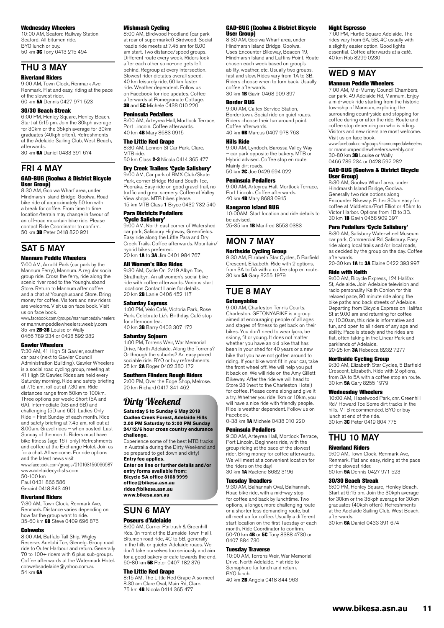#### Wednesday Wheelers

10:00 AM, Seaford Railway Station, Seaford. All bitumen ride. BYO lunch or buy. 50 km 3C Tony 0413 215 494

### THU 3 MAY

#### Riverland Riders

9:00 AM, Town Clock, Renmark Ave, Renmark. Flat and easy, riding at the pace of the slowest rider. 60 km 5A Dennis 0427 971 523

#### 30/30 Beach Streak

6:00 PM, Henley Square, Henley Beach. Start at 6:15 pm. Join the 30kph average for 30km or the 35kph average for 30km graduates (40kph often). Refreshments at the Adelaide Sailing Club, West Beach, afterwards. 30 km 6A Daniel 0433 391 674

FRI 4 MAY GAD-BUG (Goolwa & District Bicycle User Group)

8:30 AM, Goolwa Wharf area, under Hindmarsh Island Bridge, Goolwa. Road bike ride of approximately 50 km with a break for coffee. From time to time location/terrain may change in favour of an off-road mountain bike ride. Please contact Ride Coordinator to confirm. 50 km 3B Peter 0418 820 921

## SAT 5 MAY

### Mannum Peddle Wheelers

7:00 AM, Arnold Park (car park by the Mannum Ferry), Mannum. A regular social group ride. Cross the ferry, ride along the scenic river road to the Younghusband Store. Return to Mannum after coffee and a chat at Younghusband Store. Bring money for coffee. Visitors and new riders are welcome. Visit us on face book. Visit us on face book.

www.facebook.com/groups/mannumpedalwheelers or mannumpeddlewheelers.weebly.com 35 km 2B-3B Louise or Wally 0466 789 234 or 0428 592 282

#### Gawler Wheelers

7:30 AM, 41 High St Gawler, southern car park (next to Gawler Council Administration Building). Gawler Wheelers is a social road cycling group, meeting at 41 High St Gawler. Rides are held every Saturday morning. Ride and safety briefing at 7.15 am, roll out at 7.30 am. Ride distances range from 50km to 100km. Three options per week: Short (5A and 6A), Intermediate (5B and 6B) and challenging (5D and 6D). Ladies Only Ride – First Sunday of each month. Ride and safety briefing at 7.45 am, roll out at 8.00am. Gravel rides – when posted. Last Sunday of the month. Riders must have bike fitness (age 16+ only) Refreshments and coffee at the Exchange Hotel. Join us for a chat. All welcome. For ride options and the latest news visit

www.facebook.com/groups/210163156066987 www.adelaidecyc[lists.com](http://www.adelaidecyclists.com) 50-100 km

Paul 0431 866 586

Geraint 0418 843 491

#### Riverland Riders

7:30 AM, Town Clock, Renmark Ave, Renmark. Distance varies depending on how far the group want to ride. 35-60 km 6B Steve 0409 696 876

#### **Cohwebs**

8:00 AM, Buffalo Tall Ship, Wigley Reserve, Adelphi Tce, Glenelg. Group road ride to Outer Harbour and return. Generally 70 to 100+ riders with 6 plus sub-groups. Coffee afterwards at the Watermark Hotel. cobwebsadelaide@yahoo.com.au 54 km 6A

#### Mishmash Cycling

8:00 AM, Birdwood Foodland (car park at rear of supermarket) Birdwood. Social roadie ride meets at 7.45 am for 8.00 am start. Two distance/speed groups. Different route every week. Riders look after each other so no-one gets left behind. Regroup at every intersection. Slowest rider dictates overall speed. 40 km leisurely ride, 60 km faster ride. Weather dependent. Follow us on Facebook for ride updates. Coffee afterwards at Pomegranate Cottage. **3B** and 5C Michele 0438 010 220

#### Peninsula Pedallers

8:00 AM, Arteyrea Hall, Mortlock Terrace, Port Lincoln. Coffee afterwards. 40 km 4B Mary 8683 0915

#### The Little Red Grape

8:30 AM, Lennon St Car Park, Clare. MTB ride. 50 km Class **2-3** Nicola 0414 365 477

#### Dry Creek Trailers 'Cycle Salisbury' 9:00 AM, Car park of BMX Club/Skate

Park, corner Bridge Rd and South Tce, Pooraka. Easy ride on good gravel trail, no traffic and great scenery. Coffee at Valley View shops. MTB bikes please. 15 km MTB Class 1 Bryce 0432 732 540

#### Para Districts Pedallers

'Cycle Salisbury' 9:00 AM, North east corner of Watershed car park, Salisbury Highway, Greenfields. Easy ride along the Little Para and Dry Creek Trails. Coffee afterwards. Mountain/ hybrid bikes preferred. 20 km 1A to 3A Jim 0401 984 767

#### All Women's Bike Rides

9:30 AM, Cycle On' 2/19 Albyn Tce, Strathalbyn. An all women's social bike ride with coffee afterwards. Various start locations Contact Lanie for details. 20 km 2B Lanie 0406 452 117

#### Saturday Express

1:00 PM, Velo Café, Victoria Park, Rose Park. Celebrate Liz's Birthday. Café stop for afternoon tea. 40 km 3B Barry 0403 307 172

#### Saturday Sojourn

1:00 PM, Torrens Weir, War Memorial Drive, North Adelaide. Along the Torrens? Or through the suburbs? An easy paced sociable ride. BYO or buy refreshments. 25 km **2A** Roger 0402 380 172

#### Southern Flinders Rough Riders

2:00 PM, Over the Edge Shop, Melrose. 20 km Richard 0417 341 462

### Dirty Weekend

**Saturday 5 to Sunday 6 May 2018 Cudlee Creek Forest, Adelaide Hills 2.00 PM Saturday to 2:00 PM Sunday 24/12/6 hour cross country endurance challenge.**

Experience some of the best MTB tracks in Australia during the Dirty Weekend and be prepared to get down and dirty! **Entry fee applies. Enter on line or further details and/or** 

**entry forms available from: Bicycle SA office 8168 9999 office@bikesa.asn.au [rides@bikesa.asn.au](mailto:rides@bikesa.asn.au) [www.bikesa.asn.au](http://www.bikesa.asn.au)**

## SUN 6 MAY

#### Poseurs d'Adelaide

8:00 AM, Corner Portrush & Greenhill Rds. (in front of the Burnside Town Hall). Bitumen road ride, 4C to 5B, generally in the hills or quieter Adelaide roads. We don't take ourselves too seriously and aim for a good bakery or cafe towards the end. 60-80 km 5B Peter 0407 182 376

#### The Little Red Grape

8:15 AM, The Little Red Grape Also meet 8.30 am Clare Oval, Main Rd, Clare. 75 km 4B Nicola 0414 365 477

#### GAD-BUG (Goolwa & District Bicycle User Group)

8:30 AM, Goolwa Wharf area, under Hindmarsh Island Bridge, Goolwa. Uses Encounter Bikeway, Beacon 19, Hindmarsh Island and Laffins Point. Route chosen each week based on group's ability, weather, etc. Usually two groups, fast and slow. Rides vary from 1A to 3B. Riders choose when to turn back. Usually coffee afterwards.

30 km 1B Gavin 0468 909 397

#### Border BUG

9:00 AM, Caltex Service Station, Bordertown. Social ride on quiet roads. Riders choose their turnaround point. Coffee afterwards. 40 km 6B Marcus 0407 978 763

Hills Ride

9:00 AM, Lyndoch. Barossa Valley Way

– car park opposite the bakery. MTB or Hybrid advised. Coffee stop en route.

Mainly dirt roads. 50 km 2C Joe 0429 694 022

#### Peninsula Pedallers

9:00 AM, Arteyrea Hall, Mortlock Terrace, Port Lincoln. Coffee afterwards. 40 km 4B Mary 8683 0915

#### Kangaroo Island BUG

10:00AM, Start location and ride details to be advised. 25-35 km 1B Manfred 8553 0383

### MON 7 MAY Northside Cycling Group

9:30 AM, Elizabeth Star Cycles, 5 Barfield Crescent, Elizabeth. Ride with 2 options, from 3A to 5A with a coffee stop en route. 30 km 5A Gary 8255 1979

### TUE 8 MAY

#### **Getonyabike**

9:00 AM, Charleston Tennis Courts, Charleston. GETONYABIKE is a group aimed at encouraging people of all ages and stages of fitness to get back on their bikes. You don't need to wear lycra, be skinny, fit or young. It does not matter whether you have an old bike that has been in your shed for 40 years or a new bike that you have not gotten around to riding. If your bike wont fit in your car, take the front wheel off. We will help you put it back on. We will ride on the Amy Gillett Bikeway. After the ride we will head to Store 28 (next to the Charleston Hotel) for coffee. Please come along and give it a try. Whether you ride 1km or 10km, you will have a nice ride with friendly people. Ride is weather dependent. Follow us on Facebook.

0-38 km **1A** Michele 0438 010 220

#### Peninsula Pedallers

9:30 AM, Arteyrea Hall, Mortlock Terrace, Port Lincoln. Beginners ride, with the group riding at the pace of the slowest rider. Bring money for coffee afterwards. We will meet at a convenient location for the riders on the day! 30 km 1A Raelene 8682 3196

#### Tuesday Treadlers

9:30 AM, Balhannah Oval, Balhannah. Road bike ride, with a mid-way stop for coffee and back by lunchtime. Two options, a longer, more challenging route or a shorter less demanding route, but all meet up for coffee. Usually a different start location on the first Tuesday of each month. Ride Coordinator to confirm. 50-70 km 4B or 5C Tony 8388 4730 or 0407 884 730

#### Tuesday Traverse

10:00 AM, Torrens Weir, War Memorial Drive, North Adelaide. Flat ride to Semaphore for lunch and return. BYO lunch. 40 km 2B Angela 0418 844 963

#### Night Espresso

7:00 PM, Hurtle Square Adelaide. The rides vary from 6A, 5B, 4C usually with a slightly easier option. Good lights essential. Coffee afterwards at a café. 40 km Rob 8299 0230

## WED 9 MAY

#### Mannum Peddle Wheelers

7:00 AM, Mid-Murray Council Chambers, car park, 49 Adelaide Rd, Mannum. Enjoy a mid-week ride starting from the historic township of Mannum, exploring the surrounding countryside and stopping for coffee during or after the ride. Route and coffee stop depending on who is riding. Visitors and new riders are most welcome. Visit us on face book.

www.facebook.com/groups/mannumpedalwheelers or mannumpeddlewheelers.weebly.com 30-80 km 3B Louise or Wally 0466 789 234 or 0428 592 282

#### GAD-BUG (Goolwa & District Bicycle User Group)

8:30 AM, Goolwa Wharf area, under Hindmarsh Island Bridge, Goolwa. Generally two ride options along Encounter Bikeway. Either 30km easy for coffee at Middleton/Port Elliot or 45km to Victor Harbor. Options from 1B to 3B. 30 km 1B Gavin 0468 909 397

#### Para Pedallers 'Cycle Salisbury'

8:30 AM, Salisbury Waterwheel Museum car park, Commercial Rd, Salisbury. Easy ride along local trails and/or local roads, as decided by the group on the day. Coffee afterwards.

#### 20-30 km 1A to 3A Elaine 0422 393 997 Ride with Keith

9:00 AM, Bicycle Express, 124 Halifax St, Adelaide. Join Adelaide television and radio personality Keith Conlon for this relaxed pace, 90 minute ride along the bike paths and back streets of Adelaide. Departing from Bicycle Express on Halifax St at 9.00 am and returning for coffee by 10.30am, this ride is informative and fun, and open to all riders of any age and ability. Pace is steady and the rides are flat, often taking in the Linear Park and parklands of Adelaide. 20-25 km 3A Rebecca 8232 7277

#### Northside Cycling Group

9:30 AM, Elizabeth Star Cycles, 5 Barfield Crescent, Elizabeth. Ride with 2 options, from 3A to 5A with a coffee stop en route. 30 km 5A Gary 8255 1979

#### Wednesday Wheelers

10:00 AM, Hazelwood Park, cnr. Greenhill Rd/ Howard Tce Some dirt tracks in the hills. MTB recommended. BYO or buy lunch at end of the ride. 30 km **3C** Peter 0419 804 775

## THU 10 MAY

#### Riverland Riders

9:00 AM, Town Clock, Renmark Ave, Renmark. Flat and easy, riding at the pace of the slowest rider. 60 km 5A Dennis 0427 971 523

#### 30/30 Beach Streak

6:00 PM, Henley Square, Henley Beach. Start at 6:15 pm. Join the 30kph average for 30km or the 35kph average for 30km graduates (40kph often). Refreshments at the Adelaide Sailing Club, West Beach, afterwards. 30 km 6A Daniel 0433 391 674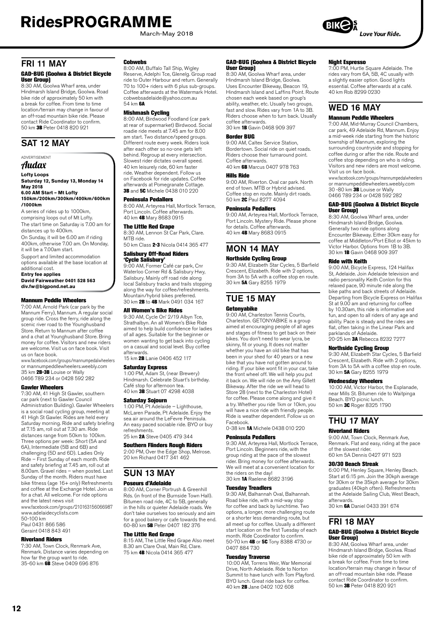March-May 2018

### FRI 11 MAY

#### GAD-BUG (Goolwa & District Bicycle and you (a)

8:30 AM, Goolwa Wharf area, under Hindmarsh Island Bridge, Goolwa. Road bike ride of approximately 50 km with a break for coffee. From time to time location/terrain may change in favour of an off-road mountain bike ride. Please contact Ride Coordinator to confirm. 50 km 3B Peter 0418 820 921

### SAT 12 MAY

#### ADVERTISEMENT Audax

#### **Lofty Loops Saturday 12, Sunday 13, Monday 14**

**May 2018 6.00 AM Start – Mt Lofty 150km/200km/300km/400km/600km /1000km**

A series of rides up to 1000km,

comprising loops out of Mt Lofty. The start time on Saturday is 7.00 am for distances up to 400km.

On Sunday, it will be 6.00 am if riding 400km, otherwise 7.00 am. On Monday, it will be a 7.00am start.

Support and limited accommodation options available at the base location at

additional cost. **Entry fee applies**

**David Fairweather 0401 528 563 div.fw@bigpond.net.au**

#### Mannum Peddle Wheelers

7:00 AM, Arnold Park (car park by the Mannum Ferry), Mannum. A regular social group ride. Cross the ferry, ride along the scenic river road to the Younghusband Store. Return to Mannum after coffee and a chat at Younghusband Store. Bring money for coffee. Visitors and new riders are welcome. Visit us on face book. Visit us on face book.

www.facebook.com/groups/mannumpedalwheelers or mannumpeddlewheelers.weebly.com 35 km 2B-3B Louise or Wally 0466 789 234 or 0428 592 282

#### Gawler Wheelers

7:30 AM, 41 High St Gawler, southern car park (next to Gawler Council Administration Building). Gawler Wheelers is a social road cycling group, meeting at 41 High St Gawler. Rides are held every Saturday morning. Ride and safety briefing at 7.15 am, roll out at 7.30 am. Ride distances range from 50km to 100km. Three options per week: Short (5A and 6A), Intermediate (5B and 6B) and challenging (5D and 6D). Ladies Only Ride – First Sunday of each month. Ride and safety briefing at 7.45 am, roll out at 8.00am. Gravel rides – when posted. Last Sunday of the month. Riders must have bike fitness (age 16+ only) Refreshments and coffee at the Exchange Hotel. Join us for a chat. All welcome. For ride options and the latest news visit

www.facebook.com/groups/210163156066987 www.adelaidecyc[lists.com](http://www.adelaidecyclists.com) 50-100 km

Paul 0431 866 586 Geraint 0418 843 491

#### Riverland Riders

7:30 AM, Town Clock, Renmark Ave, Renmark. Distance varies depending on how far the group want to ride.<br>35-60 km **6B** Steve 0409 696 876

#### **Cobwebs**

8:00 AM, Buffalo Tall Ship, Wigley Reserve, Adelphi Tce, Glenelg. Group road ride to Outer Harbour and return. Generally 70 to 100+ riders with 6 plus sub-groups. Coffee afterwards at the Watermark Hotel. cobwebsadelaide@yahoo.com.au 54 km 6A

**Mishmash Cycling**<br>8:00 AM, Birdwood Foodland (car park at rear of supermarket) Birdwood. Social roadie ride meets at 7.45 am for 8.00 am start. Two distance/speed groups. Different route every week. Riders look after each other so no-one gets left behind. Regroup at every intersection. Slowest rider dictates overall speed. 40 km leisurely ride, 60 km faster ride. Weather dependent. Follow us on Facebook for ride updates. Coffee afterwards at Pomegranate Cottage. 3B and 5C Michele 0438 010 220

#### Peninsula Pedallers

8:00 AM, Arteyrea Hall, Mortlock Terrace, Port Lincoln. Coffee afterwards. 40 km 4B Mary 8683 0915

#### The Little Red Grape

8:30 AM, Lennon St Car Park, Clare. MTB ride. 50 km Class 2-3 Nicola 0414 365 477

Salisbury Off-Road Riders

**'Cycle Salisbury'**<br>9:00 AM, Former Café car park, Cnr Waterloo Corner Rd & Salisbury Hwy, Salisbury. Mainly off road ride along local Salisbury tracks and trails stopping along the way for coffee/refreshments. Mountain/hybrid bikes preferred. 30 km 2B to 4B Mark 0491 034 167

#### All Women's Bike Rides

9:30 AM, Cycle On' 2/19 Albyn Tce, Strathalbyn. An all Women's Bike Ride aimed to help build confidence for ladies of all ages. Suitable for the beginner or women wanting to get back into cycling on a casual and social level. Buy coffee afterwards.

15 km **2B** Lanie 0406 452 117

#### Saturday Express

1:00 PM, Adam St, (near Brewery) Hindmarsh. Celebrate Stuart's birthday. Café stop for afternoon tea. 40 km 3B Stuart 07 4298 4038

#### Saturday Sojourn

1:00 PM, Pt Adelaide – Lighthouse, McLaren Parade, Pt Adelaide. Enjoy the sea air around the LeFevre Peninsula. An easy paced sociable ride. BYO or buy refreshments.

25 km 2A Steve 0405 479 344

### Southern Flinders Rough Riders

2:00 PM, Over the Edge Shop, Melrose. 20 km Richard 0417 341 462

## SUN 13 MAY

#### Poseurs d'Adelaide

8:00 AM, Corner Portrush & Greenhill Rds. (in front of the Burnside Town Hall). Bitumen road ride, 4C to 5B, generally in the hills or quieter Adelaide roads. We don't take ourselves too seriously and aim for a good bakery or cafe towards the end. 60-80 km 5B Peter 0407 182 376

#### The Little Red Grape

8:15 AM, The Little Red Grape Also meet 8.30 am Clare Oval, Main Rd, Clare. 75 km 4B Nicola 0414 365 477

#### GAD-BUG (Goolwa & District Bicycle User Group)

8:30 AM, Goolwa Wharf area, under Hindmarsh Island Bridge, Goolwa. Uses Encounter Bikeway, Beacon 19, Hindmarsh Island and Laffins Point. Route chosen each week based on group's ability, weather, etc. Usually two groups, fast and slow. Rides vary from 1A to 3B. Riders choose when to turn back. Usually coffee afterwards. 30 km 1B Gavin 0468 909 397

### Border BUG

9:00 AM, Caltex Service Station, Bordertown. Social ride on quiet roads. Riders choose their turnaround point. Coffee afterwards. 40 km 6B Marcus 0407 978 763

#### Hills Ride

9:00 AM, Riverton. Oval car park. North end of town. MTB or Hybrid advised. Coffee stop en route. Mainly dirt roads. 50 km 2C Paul 8277 4094

#### Peninsula Pedallers

9:00 AM, Arteyrea Hall, Mortlock Terrace, Port Lincoln. Mystery Ride. Please phone for details. Coffee afterwards. 40 km 4B Mary 8683 0915

### MON 14 MAY Northside Cycling Group

9:30 AM, Elizabeth Star Cycles, 5 Barfield Crescent, Elizabeth. Ride with 2 options, from 3A to 5A with a coffee stop en route. 30 km 5A Gary 8255 1979

### TUE 15 MAY

#### Getonyabike

9:00 AM, Charleston Tennis Courts, Charleston. GETONYABIKE is a group aimed at encouraging people of all ages and stages of fitness to get back on their bikes. You don't need to wear lycra, be skinny, fit or young. It does not matter whether you have an old bike that has been in your shed for 40 years or a new bike that you have not gotten around to riding. If your bike wont fit in your car, take the front wheel off. We will help you put it back on. We will ride on the Amy Gillett Bikeway. After the ride we will head to Store 28 (next to the Charleston Hotel) for coffee. Please come along and give it a try. Whether you ride 1km or 10km, you will have a nice ride with friendly people. Ride is weather dependent. Follow us on Facebook.

0-38 km 1A Michele 0438 010 220

#### Peninsula Pedallers

9:30 AM, Arteyrea Hall, Mortlock Terrace, Port Lincoln. Beginners ride, with the group riding at the pace of the slowest group manny at the pace of the ciencet We will meet at a convenient location for the riders on the day! 30 km 1A Raelene 8682 3196

#### Tuesday Treadlers

9:30 AM, Balhannah Oval, Balhannah. Road bike ride, with a mid-way stop for coffee and back by lunchtime. Two options, a longer, more challenging route or a shorter less demanding route, but all meet up for coffee. Usually a different start location on the first Tuesday of each month. Ride Coordinator to confirm. 50-70 km 4B or 5C Tony 8388 4730 or 0407 884 730

#### Tuesday Traverse

10:00 AM, Torrens Weir, War Memorial Drive, North Adelaide. Ride to Norton Summit to have lunch with Tom Playford. BYO lunch. Great ride back for coffee. 40 km 2B Jane 0402 102 608

#### Night Espresso

7:00 PM, Hurtle Square Adelaide. The rides vary from 6A, 5B, 4C usually with a slightly easier option. Good lights essential. Coffee afterwards at a café. 40 km Rob 8299 0230

### WED 16 MAY

#### Mannum Peddle Wheelers

7:00 AM, Mid-Murray Council Chambers, car park, 49 Adelaide Rd, Mannum. Enjoy a mid-week ride starting from the historic township of Mannum, exploring the surrounding countryside and stopping for coffee during or after the ride. Route and coffee stop depending on who is riding. Visitors and new riders are most welcome. Visit us on face book.

www.facebook.com/groups/mannumpedalwheelers or mannumpeddlewheelers.weebly.com 30 -80 km 3B Louise or Wally 0466 789 234 or 0428 592 282

#### GAD-BUG (Goolwa & District Bicycle User Group)

8:30 AM, Goolwa Wharf area, under Hindmarsh Island Bridge, Goolwa. Generally two ride options along Encounter Bikeway. Either 30km easy for coffee at Middleton/Port Elliot or 45km to Victor Harbor. Options from 1B to 3B. 30 km 1B Gavin 0468 909 397

#### Ride with Keith

9:00 AM, Bicycle Express, 124 Halifax St, Adelaide. Join Adelaide television and radio personality Keith Conlon for this relaxed pace, 90 minute ride along the bike paths and back streets of Adelaide. Departing from Bicycle Express on Halifax St at 9.00 am and returning for coffee by 10.30am, this ride is informative and fun, and open to all riders of any age and ability. Pace is steady and the rides are flat, often taking in the Linear Park and parklands of Adelaide. 20-25 km 3A Rebecca 8232 7277

#### Northside Cycling Group

9:30 AM, Elizabeth Star Cycles, 5 Barfield Crescent, Elizabeth. Ride with 2 options, from 3A to 5A with a coffee stop en route. 30 km 5A Gary 8255 1979

#### Wednesday Wheelers

10:00 AM, Victor Harbor, the Esplanade, near Mills St. Bitumen ride to Waitpinga Beach. BYO picnic lunch. 50 km 3C Roger 8325 1790

## THU 17 MAY

#### Riverland Riders

9:00 AM, Town Clock, Renmark Ave, Renmark. Flat and easy, riding at the pace of the slowest rider. 60 km 5A Dennis 0427 971 523

#### 30/30 Beach Streak

6:00 PM, Henley Square, Henley Beach. Start at 6:15 pm. Join the 30kph average for 30km or the 35kph average for 30km graduates (40kph often). Refreshments at the Adelaide Sailing Club, West Beach, afterwards. 30 km 6A Daniel 0433 391 674

# FRI 18 MAY

#### GAD-BUG (Goolwa & District Bicycle User Group)

8:30 AM, Goolwa Wharf area, under Hindmarsh Island Bridge, Goolwa. Road bike ride of approximately 50 km with a break for coffee. From time to time location/terrain may change in favour of an off-road mountain bike ride. Please contact Ride Coordinator to confirm. 50 km 3B Peter 0418 820 921

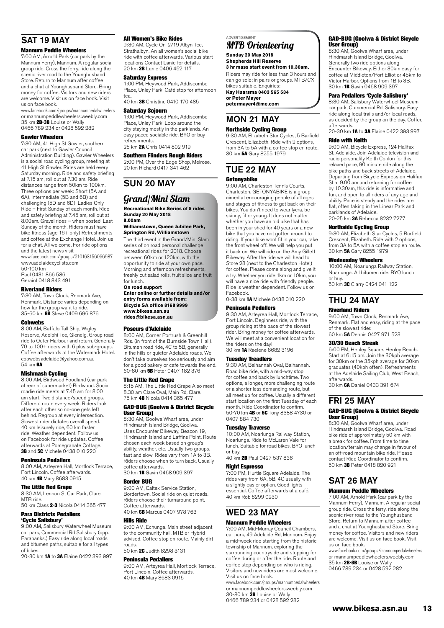# SAT 19 MAY

#### Mannum Peddle Wheelers

7:00 AM, Arnold Park (car park by the Mannum Ferry), Mannum. A regular social group ride. Cross the ferry, ride along the scenic river road to the Younghusband Store. Return to Mannum after coffee and a chat at Younghusband Store. Bring money for coffee. Visitors and new riders are welcome. Visit us on face book. Visit us on face book.

www.facebook.com/groups/mannumpedalwheelers or mannumpeddlewheelers.weebly.com 35 km **2B-3B** Louise or Wally 0466 789 234 or 0428 592 282

#### Gawler Wheelers

7:30 AM, 41 High St Gawler, southern car park (next to Gawler Council Administration Building). Gawler Wheelers is a social road cycling group, meeting at 41 High St Gawler. Rides are held every Saturday morning. Ride and safety briefing at 7.15 am, roll out at 7.30 am. Ride distances range from 50km to 100km. Three options per week: Short (5A and 6A), Intermediate (5B and 6B) and challenging (5D and 6D). Ladies Only Ride – First Sunday of each month. Ride and safety briefing at 7.45 am, roll out at 8.00am. Gravel rides – when posted. Last Sunday of the month. Riders must have bike fitness (age 16+ only) Refreshments and coffee at the Exchange Hotel. Join us for a chat. All welcome. For ride options and the latest news visit

www.facebook.com/groups/210163156066987 www.adelaidecyc[lists.com](http://www.adelaidecyclists.com) 50-100 km

Paul 0431 866 586 Geraint 0418 843 491

#### Riverland Riders

7:30 AM, Town Clock, Renmark Ave, Renmark. Distance varies depending on how far the group want to ride. 35-60 km 6B Steve 0409 696 876

#### Cobwebs

8:00 AM, Buffalo Tall Ship, Wigley Reserve, Adelphi Tce, Glenelg. Group road ride to Outer Harbour and return. Generally 70 to 100+ riders with 6 plus sub-groups. Coffee afterwards at the Watermark Hotel. cobwebsadelaide@yahoo.com.au  $54 \text{ km}$  6A

**Mishmash Cycling**<br>8:00 AM, Birdwood Foodland (car park at rear of supermarket) Birdwood. Social roadie ride meets at 7.45 am for 8.00 am start. Two distance/speed groups. Different route every week. Riders look after each other so no-one gets left behind. Regroup at every intersection. Slowest rider dictates overall speed. 40 km leisurely ride, 60 km faster ride. Weather dependent. Follow us on Facebook for ride updates. Coffee afterwards at Pomegranate Cottage.<br>**3B** and **5C** Michele 0438 010 220

#### Peninsula Pedallers

8:00 AM, Arteyrea Hall, Mortlock Terrace, Port Lincoln. Coffee afterwards. 40 km 4B Mary 8683 0915

#### The Little Red Grape

8:30 AM, Lennon St Car Park, Clare. MTR ride

50 km Class 2-3 Nicola 0414 365 477 Para Districts Pedallers

### 'Cycle Salisbury'

9:00 AM, Salisbury Waterwheel Museum car park, Commercial Rd Salisbury (opp. Parabanks.) Easy ride along local roads and bitumen paths, suitable for all types of bikes.

20-30 km 1A to 3A Elaine 0422 393 997

#### All Women's Bike Rides

9:30 AM, Cycle On' 2/19 Albyn Tce, Strathalbyn. An all women's social bike ride with coffee afterwards. Various start locations Contact Lanie for details. 20 km 2B Lanie 0406 452 117

#### Saturday Express

1:00 PM, Heywood Park, Addiscombe Place, Unley Park. Café stop for afternoon

tea.<br>40 km **3B** Christine 0410 170 485

#### Saturday Sojourn

1:00 PM, Heywood Park, Addiscombe Place, Unley Park. Loop around the city staying mostly in the parklands. An easy paced sociable ride. BYO or buy refreshments. 25 km 2A Chris 0414 802 919

#### Southern Flinders Rough Riders

2:00 PM, Over the Edge Shop, Melrose. 20 km Richard 0417 341 462

## SUN 20 MAY

### Grand/Mini Slam

**Recreational Bike Series of 5 rides Sunday 20 May 2018 8.00am** 

#### **Williamstown, Queen Jubilee Park, Springton Rd, Williamstown**

The third event in the Grand/Mini Slam series of on road personal challenge recreational rides for 2018. Choose between 60km or 120km, with the opportunity to ride at your own pace. Morning and afternoon refreshments, freshly cut salad rolls, fruit slice and fruit for lunch.

#### **On road support**

**Enter online or further details and/or entry forms available from: Bicycle SA office 8168 9999 [www.bikesa.asn.au](http://www.bikesa.asn.au) [rides@bikesa.asn.au](mailto:rides@bikesa.asn.au)**

#### Poseurs d'Adelaide

8:00 AM, Corner Portrush & Greenhill Rds. (in front of the Burnside Town Hall). Bitumen road ride, 4C to 5B, generally in the hills or quieter Adelaide roads. We don't take ourselves too seriously and aim for a good bakery or cafe towards the end. 60-80 km 5B Peter 0407 182 376

#### The Little Red Grape

8:15 AM, The Little Red Grape Also meet 8.30 am Clare Oval, Main Rd, Clare. 75 km 4B Nicola 0414 365 477

#### GAD-BUG (Goolwa & District Bicycle User Group)

8:30 AM, Goolwa Wharf area, under Hindmarsh Island Bridge, Goolwa. Uses Encounter Bikeway, Beacon 19, Hindmarsh Island and Laffins Point. Route chosen each week based on group's ability, weather, etc. Usually two groups fast and slow. Rides vary from 1A to 3B. Riders choose when to turn back. Usually coffee afterwards. 30 km 1B Gavin 0468 909 397

#### Border BUG

9:00 AM, Caltex Service Station, Bordertown. Social ride on quiet roads. Riders choose their turnaround point. Coffee afterwards. 40 km 6B Marcus 0407 978 763

### Hills Ride

9:00 AM, Echunga. Main street adjacent to the community hall. MTB or Hybrid advised. Coffee stop en route. Mainly dirt roads. 50 km 2C Judith 8298 3131

Peninsula Pedallers 9:00 AM, Arteyrea Hall, Mortlock Terrace,

Port Lincoln. Coffee afterwards. 40 km 4B Mary 8683 0915

### ADVERTISEMENT

#### MTB Orienteering **Sunday 20 May 2018**

**Shepherds Hill Reserve 3 hr mass start event from 10.30am.** 

Riders may ride for less than 3 hours and can go solo; in pairs or groups. MTB/CX bikes suitable. Enquiries: **Kay Haarsma 0403 565 534** 

**or Peter Mayer petermayer4@me.com**

### MON 21 MAY

#### Northside Cycling Group

9:30 AM, Elizabeth Star Cycles, 5 Barfield Crescent, Elizabeth. Ride with 2 options, from 3A to 5A with a coffee stop en route.<br>30 km **5A** Gary 8255 1979

#### TUE 22 MAY Getonyabike

9:00 AM, Charleston Tennis Courts, Charleston. GETONYABIKE is a group aimed at encouraging people of all ages and stages of fitness to get back on their bikes. You don't need to wear lycra, be skinny, fit or young. It does not matter whether you have an old bike that has been in your shed for 40 years or a new bike that you have not gotten around to riding. If your bike wont fit in your car, take the front wheel off. We will help you put it back on. We will ride on the Amy Gillett Bikeway. After the ride we will head to Store 28 (next to the Charleston Hotel) for coffee. Please come along and give it a try. Whether you ride 1km or 10km, you will have a nice ride with friendly people. Ride is weather dependent. Follow us on Facebook.

0-38 km 1A Michele 0438 010 220

#### Peninsula Pedallers

9:30 AM, Arteyrea Hall, Mortlock Terrace, Port Lincoln. Beginners ride, with the group riding at the pace of the slowest rider. Bring money for coffee afterwards. We will meet at a convenient location for the riders on the day!<br>30 km **1A** Raelene 8682 3196

**Tuesday Treadlers**<br>9:30 AM, Balhannah Oval, Balhannah. Road bike ride, with a mid-way stop for coffee and back by lunchtime. Two options, a longer, more challenging route or a shorter less demanding route, but all meet up for coffee. Usually a different start location on the first Tuesday of each month. Ride Coordinator to confirm. 50-70 km 4B or 5C Tony 8388 4730 or 0407 884 730

Tuesday Traverse<br>10:00 AM, Noarlunga Railway Station, Noarlunga. Ride to McLaren Vale for lunch. Suitable for road bikes. BYO lunch or buy. 40 km 2B Paul 0427 537 836

#### Night Espresso

7:00 PM, Hurtle Square Adelaide. The rides vary from 6A, 5B, 4C usually with a slightly easier option. Good lights essential. Coffee afterwards at a café. 40 km Rob 8299 0230

### WED 23 MAY Mannum Peddle Wheelers

7:00 AM, Mid-Murray Council Chambers, car park, 49 Adelaide Rd, Mannum. Enjoy a mid-week ride starting from the historic township of Mannum, exploring the surrounding countryside and stopping for coffee during or after the ride. Route and coffee stop depending on who is riding. Visitors and new riders are most welcome. Visit us on face book.

www.facebook.com/groups/mannumpedalwheelers or mannumpeddlewheelers.weebly.com 30-80 km 3B Louise or Wally 0466 789 234 or 0428 592 282

#### GAD-BUG (Goolwa & District Bicycle User Group)

8:30 AM, Goolwa Wharf area, under Hindmarsh Island Bridge, Goolwa. Generally two ride options along Encounter Bikeway. Either 30km easy for coffee at Middleton/Port Elliot or 45km to Victor Harbor. Options from 1B to 3B. 30 km 1B Gavin 0468 909 397

#### Para Pedallers 'Cycle Salisbury'

8:30 AM, Salisbury Waterwheel Museum car park, Commercial Rd, Salisbury. Easy ride along local trails and/or local roads, as decided by the group on the day. Coffee afterwards.

20-30 km 1A to 3A Elaine 0422 393 997

#### Ride with Keith

9:00 AM, Bicycle Express, 124 Halifax St, Adelaide. Join Adelaide television and radio personality Keith Conlon for this relaxed pace, 90 minute ride along the<br>bike paths and back streets of Adelaide bike paths and back streets of Adelaide. Departing from Bicycle Express on Halifax St at 9.00 am and returning for coffee by 10.30am, this ride is informative and fun, and open to all riders of any age and ability. Pace is steady and the rides are flat, often taking in the Linear Park and parklands of Adelaide. 20-25 km 3A Rebecca 8232 7277

### Northside Cycling Group

9:30 AM, Elizabeth Star Cycles, 5 Barfield Crescent, Elizabeth. Ride with 2 options, from 3A to 5A with a coffee stop en route. 30 km 5A Gary 8255 1979

#### Wednesday Wheelers

10:00 AM, Noarlunga Railway Station, Noarlunga. All bitumen ride. BYO lunch or buy.

50 km 3C Clarry 0424 041 122

### THII 24 MAY Riverland Riders

9:00 AM, Town Clock, Renmark Ave, Renmark. Flat and easy, riding at the pace of the slowest rider. 60 km 5A Dennis 0427 971 523

#### 30/30 Beach Streak

6:00 PM, Henley Square, Henley Beach. Start at 6:15 pm. Join the 30kph average for 30km or the 35kph average for 30km graduates (40kph often). Refreshments at the Adelaide Sailing Club, West Beach, afterwards.

30 km 6A Daniel 0433 391 674

### FRI 25 MAY

#### GAD-BUG (Goolwa & District Bicycle User Group)

8:30 AM, Goolwa Wharf area, under Hindmarsh Island Bridge, Goolwa. Road bike ride of approximately 50 km with a break for coffee. From time to time location/terrain may change in favour of an off-road mountain bike ride. Please contact Ride Coordinator to confirm. 50 km 3B Peter 0418 820 921

### SAT 26 MAY

#### Mannum Peddle Wheelers

7:00 AM, Arnold Park (car park by the Mannum Ferry), Mannum. A regular social group ride. Cross the ferry, ride along the scenic river road to the Younghusband Store. Return to Mannum after coffee and a chat at Younghusband Store. Bring money for coffee. Visitors and new riders are welcome. Visit us on face book. Visit us on face book.

www.facebook.com/groups/mannumpedalwheelers or mannumpeddlewheelers.weebly.com 35 km 2B-3B Louise or Wally 0466 789 234 or 0428 592 282